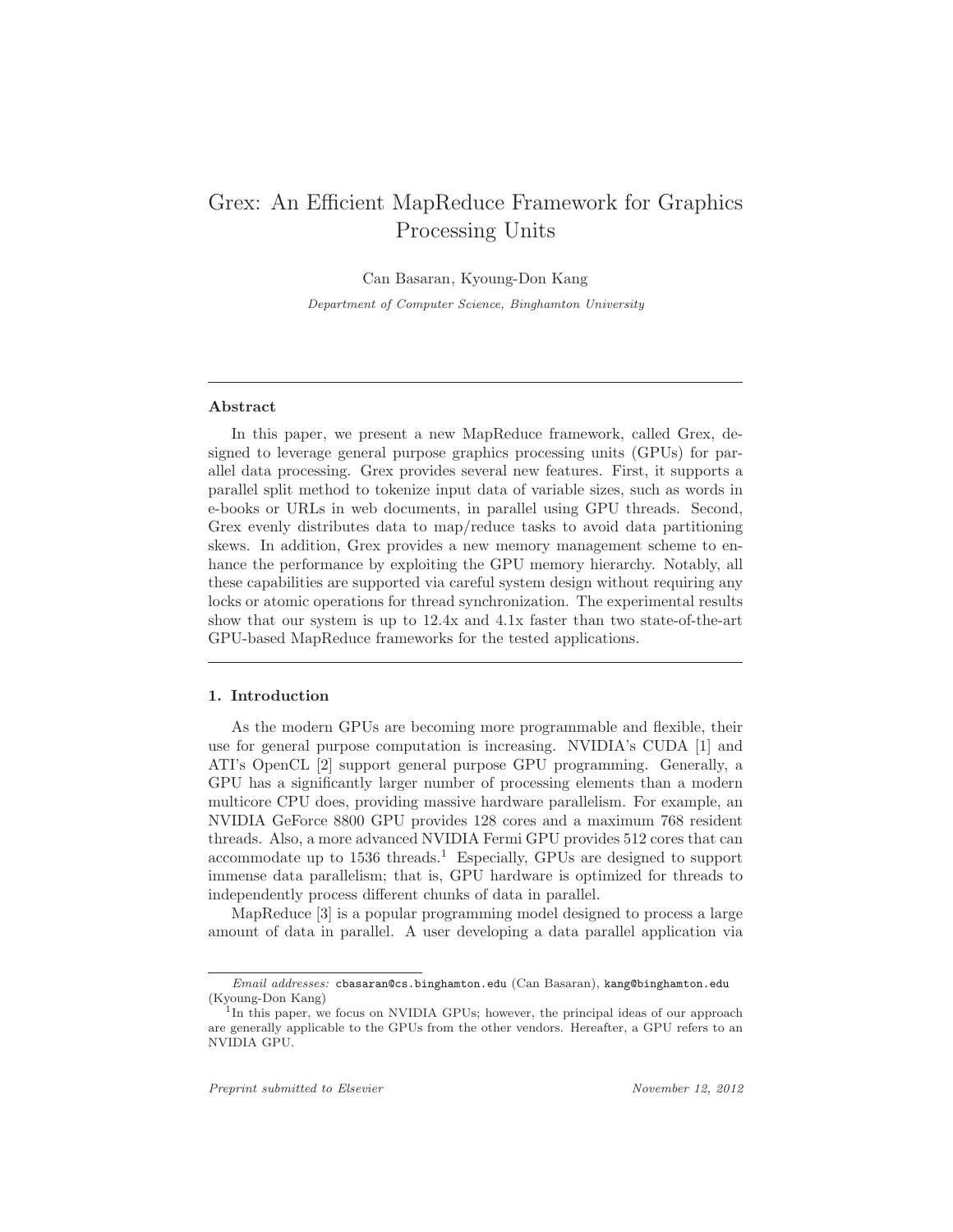# Grex: An Efficient MapReduce Framework for Graphics Processing Units

Can Basaran, Kyoung-Don Kang

Department of Computer Science, Binghamton University

# Abstract

In this paper, we present a new MapReduce framework, called Grex, designed to leverage general purpose graphics processing units (GPUs) for parallel data processing. Grex provides several new features. First, it supports a parallel split method to tokenize input data of variable sizes, such as words in e-books or URLs in web documents, in parallel using GPU threads. Second, Grex evenly distributes data to map/reduce tasks to avoid data partitioning skews. In addition, Grex provides a new memory management scheme to enhance the performance by exploiting the GPU memory hierarchy. Notably, all these capabilities are supported via careful system design without requiring any locks or atomic operations for thread synchronization. The experimental results show that our system is up to 12.4x and 4.1x faster than two state-of-the-art GPU-based MapReduce frameworks for the tested applications.

# 1. Introduction

As the modern GPUs are becoming more programmable and flexible, their use for general purpose computation is increasing. NVIDIA's CUDA [1] and ATI's OpenCL [2] support general purpose GPU programming. Generally, a GPU has a significantly larger number of processing elements than a modern multicore CPU does, providing massive hardware parallelism. For example, an NVIDIA GeForce 8800 GPU provides 128 cores and a maximum 768 resident threads. Also, a more advanced NVIDIA Fermi GPU provides 512 cores that can accommodate up to  $1536$  threads.<sup>1</sup> Especially, GPUs are designed to support immense data parallelism; that is, GPU hardware is optimized for threads to independently process different chunks of data in parallel.

MapReduce [3] is a popular programming model designed to process a large amount of data in parallel. A user developing a data parallel application via

Email addresses: cbasaran@cs.binghamton.edu (Can Basaran), kang@binghamton.edu (Kyoung-Don Kang)

<sup>&</sup>lt;sup>1</sup>In this paper, we focus on NVIDIA GPUs; however, the principal ideas of our approach are generally applicable to the GPUs from the other vendors. Hereafter, a GPU refers to an NVIDIA GPU.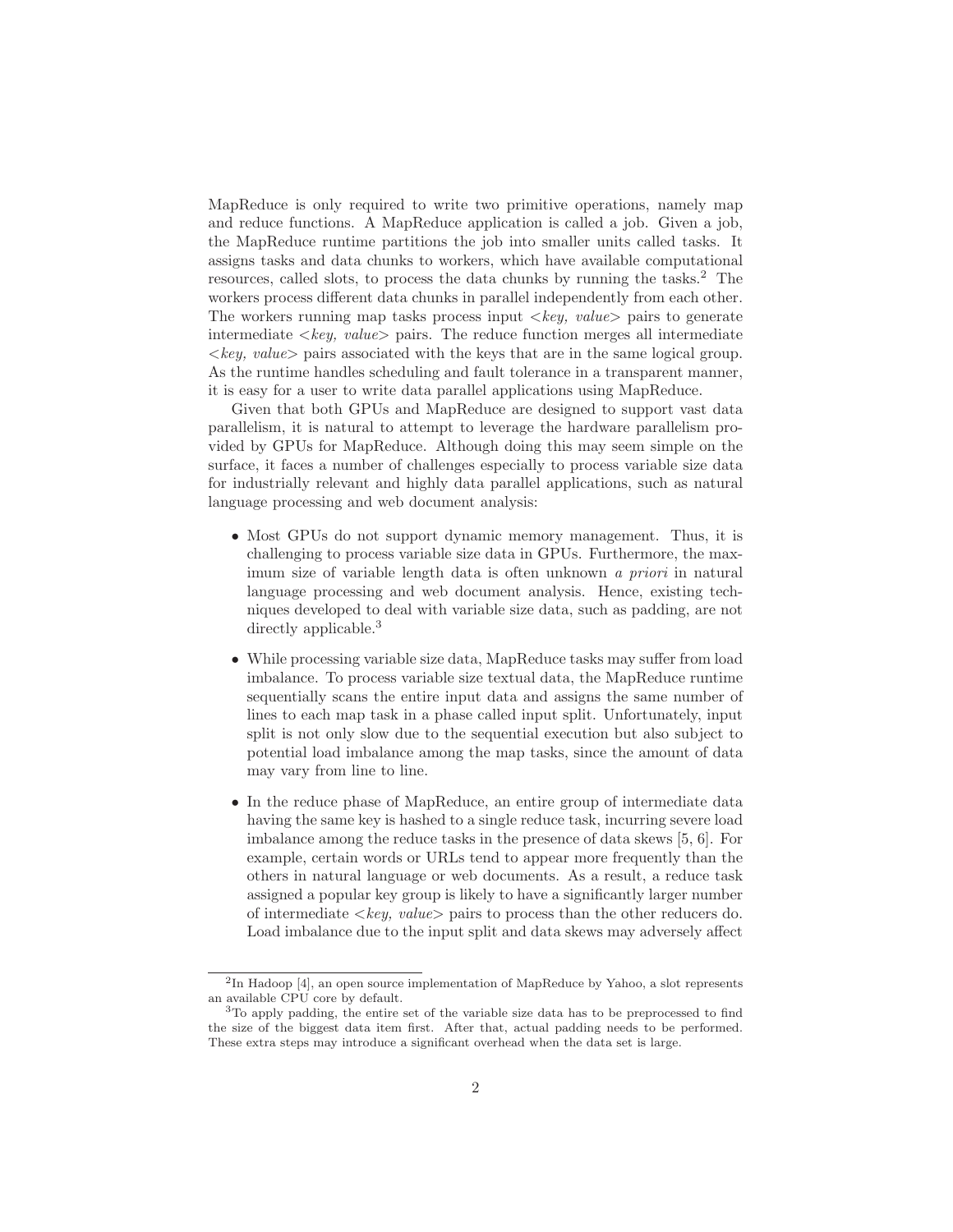MapReduce is only required to write two primitive operations, namely map and reduce functions. A MapReduce application is called a job. Given a job, the MapReduce runtime partitions the job into smaller units called tasks. It assigns tasks and data chunks to workers, which have available computational resources, called slots, to process the data chunks by running the tasks.<sup>2</sup> The workers process different data chunks in parallel independently from each other. The workers running map tasks process input  $\langle key, value \rangle$  pairs to generate intermediate  $\langle key, value \rangle$  pairs. The reduce function merges all intermediate  $\langle key, value \rangle$  pairs associated with the keys that are in the same logical group. As the runtime handles scheduling and fault tolerance in a transparent manner, it is easy for a user to write data parallel applications using MapReduce.

Given that both GPUs and MapReduce are designed to support vast data parallelism, it is natural to attempt to leverage the hardware parallelism provided by GPUs for MapReduce. Although doing this may seem simple on the surface, it faces a number of challenges especially to process variable size data for industrially relevant and highly data parallel applications, such as natural language processing and web document analysis:

- Most GPUs do not support dynamic memory management. Thus, it is challenging to process variable size data in GPUs. Furthermore, the maximum size of variable length data is often unknown a priori in natural language processing and web document analysis. Hence, existing techniques developed to deal with variable size data, such as padding, are not directly applicable.<sup>3</sup>
- While processing variable size data, MapReduce tasks may suffer from load imbalance. To process variable size textual data, the MapReduce runtime sequentially scans the entire input data and assigns the same number of lines to each map task in a phase called input split. Unfortunately, input split is not only slow due to the sequential execution but also subject to potential load imbalance among the map tasks, since the amount of data may vary from line to line.
- In the reduce phase of MapReduce, an entire group of intermediate data having the same key is hashed to a single reduce task, incurring severe load imbalance among the reduce tasks in the presence of data skews [5, 6]. For example, certain words or URLs tend to appear more frequently than the others in natural language or web documents. As a result, a reduce task assigned a popular key group is likely to have a significantly larger number of intermediate  $\langle key, value \rangle$  pairs to process than the other reducers do. Load imbalance due to the input split and data skews may adversely affect

 $2$ In Hadoop [4], an open source implementation of MapReduce by Yahoo, a slot represents an available CPU core by default.

<sup>3</sup>To apply padding, the entire set of the variable size data has to be preprocessed to find the size of the biggest data item first. After that, actual padding needs to be performed. These extra steps may introduce a significant overhead when the data set is large.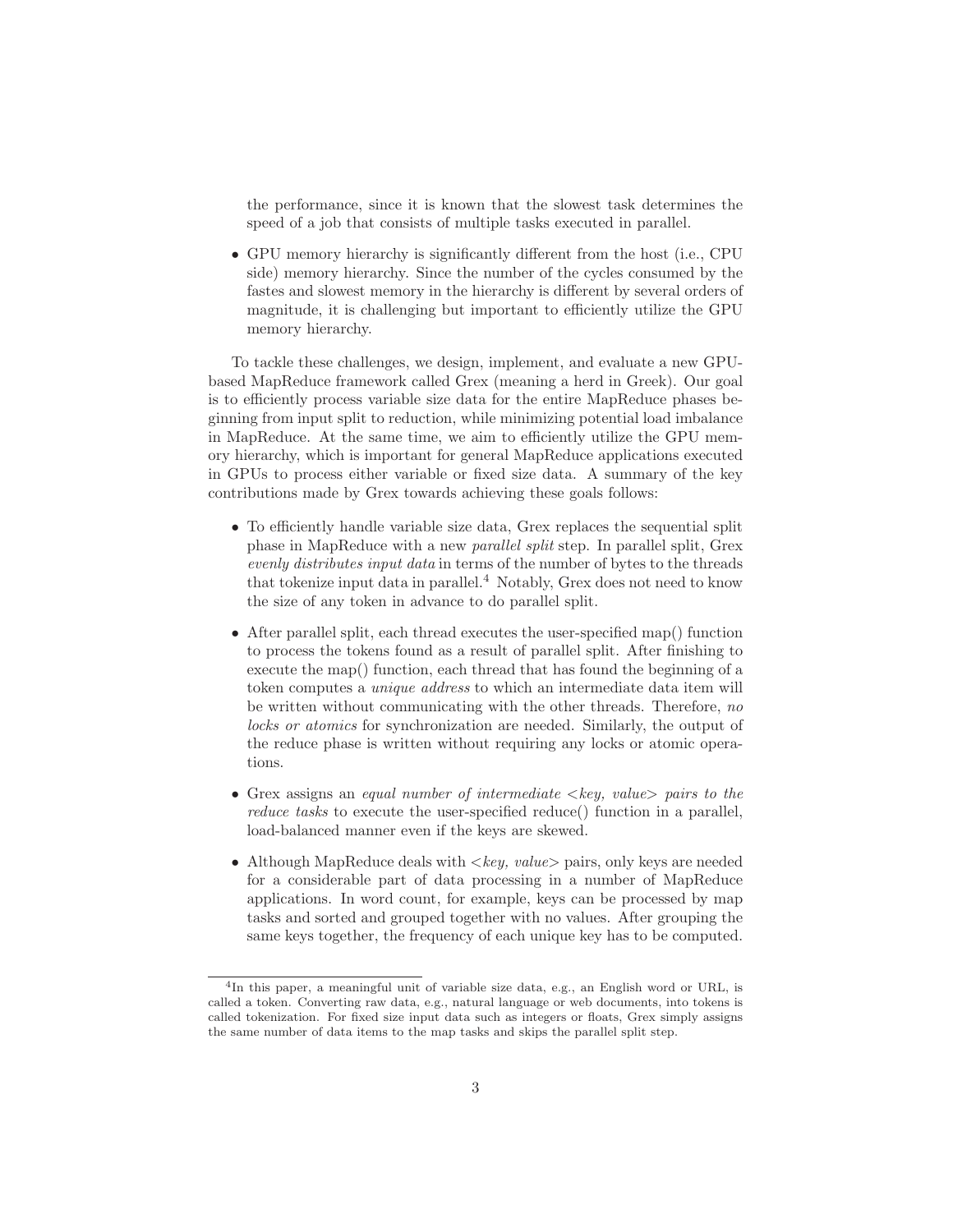the performance, since it is known that the slowest task determines the speed of a job that consists of multiple tasks executed in parallel.

• GPU memory hierarchy is significantly different from the host (i.e., CPU side) memory hierarchy. Since the number of the cycles consumed by the fastes and slowest memory in the hierarchy is different by several orders of magnitude, it is challenging but important to efficiently utilize the GPU memory hierarchy.

To tackle these challenges, we design, implement, and evaluate a new GPUbased MapReduce framework called Grex (meaning a herd in Greek). Our goal is to efficiently process variable size data for the entire MapReduce phases beginning from input split to reduction, while minimizing potential load imbalance in MapReduce. At the same time, we aim to efficiently utilize the GPU memory hierarchy, which is important for general MapReduce applications executed in GPUs to process either variable or fixed size data. A summary of the key contributions made by Grex towards achieving these goals follows:

- To efficiently handle variable size data, Grex replaces the sequential split phase in MapReduce with a new parallel split step. In parallel split, Grex evenly distributes input data in terms of the number of bytes to the threads that tokenize input data in parallel.<sup>4</sup> Notably, Grex does not need to know the size of any token in advance to do parallel split.
- After parallel split, each thread executes the user-specified map() function to process the tokens found as a result of parallel split. After finishing to execute the map() function, each thread that has found the beginning of a token computes a unique address to which an intermediate data item will be written without communicating with the other threads. Therefore, no locks or atomics for synchronization are needed. Similarly, the output of the reduce phase is written without requiring any locks or atomic operations.
- Grex assigns an equal number of intermediate  $\langle keu, value \rangle$  pairs to the reduce tasks to execute the user-specified reduce() function in a parallel, load-balanced manner even if the keys are skewed.
- Although MapReduce deals with  $\langle key, value \rangle$  pairs, only keys are needed for a considerable part of data processing in a number of MapReduce applications. In word count, for example, keys can be processed by map tasks and sorted and grouped together with no values. After grouping the same keys together, the frequency of each unique key has to be computed.

<sup>4</sup> In this paper, a meaningful unit of variable size data, e.g., an English word or URL, is called a token. Converting raw data, e.g., natural language or web documents, into tokens is called tokenization. For fixed size input data such as integers or floats, Grex simply assigns the same number of data items to the map tasks and skips the parallel split step.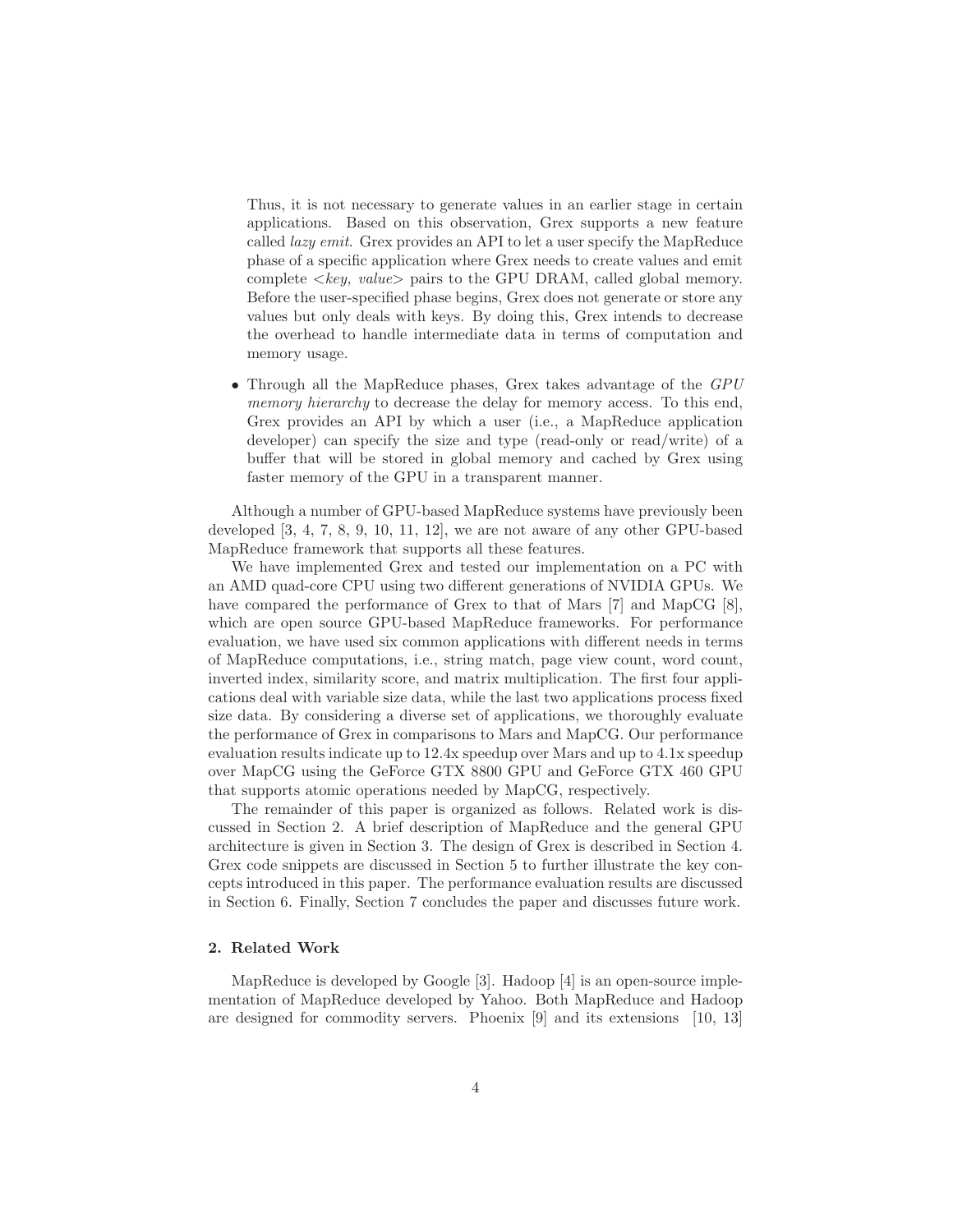Thus, it is not necessary to generate values in an earlier stage in certain applications. Based on this observation, Grex supports a new feature called lazy emit. Grex provides an API to let a user specify the MapReduce phase of a specific application where Grex needs to create values and emit complete  $\langle key, value \rangle$  pairs to the GPU DRAM, called global memory. Before the user-specified phase begins, Grex does not generate or store any values but only deals with keys. By doing this, Grex intends to decrease the overhead to handle intermediate data in terms of computation and memory usage.

• Through all the MapReduce phases, Grex takes advantage of the GPU memory hierarchy to decrease the delay for memory access. To this end, Grex provides an API by which a user (i.e., a MapReduce application developer) can specify the size and type (read-only or read/write) of a buffer that will be stored in global memory and cached by Grex using faster memory of the GPU in a transparent manner.

Although a number of GPU-based MapReduce systems have previously been developed [3, 4, 7, 8, 9, 10, 11, 12], we are not aware of any other GPU-based MapReduce framework that supports all these features.

We have implemented Grex and tested our implementation on a PC with an AMD quad-core CPU using two different generations of NVIDIA GPUs. We have compared the performance of Grex to that of Mars [7] and MapCG [8], which are open source GPU-based MapReduce frameworks. For performance evaluation, we have used six common applications with different needs in terms of MapReduce computations, i.e., string match, page view count, word count, inverted index, similarity score, and matrix multiplication. The first four applications deal with variable size data, while the last two applications process fixed size data. By considering a diverse set of applications, we thoroughly evaluate the performance of Grex in comparisons to Mars and MapCG. Our performance evaluation results indicate up to 12.4x speedup over Mars and up to 4.1x speedup over MapCG using the GeForce GTX 8800 GPU and GeForce GTX 460 GPU that supports atomic operations needed by MapCG, respectively.

The remainder of this paper is organized as follows. Related work is discussed in Section 2. A brief description of MapReduce and the general GPU architecture is given in Section 3. The design of Grex is described in Section 4. Grex code snippets are discussed in Section 5 to further illustrate the key concepts introduced in this paper. The performance evaluation results are discussed in Section 6. Finally, Section 7 concludes the paper and discusses future work.

# 2. Related Work

MapReduce is developed by Google [3]. Hadoop [4] is an open-source implementation of MapReduce developed by Yahoo. Both MapReduce and Hadoop are designed for commodity servers. Phoenix [9] and its extensions [10, 13]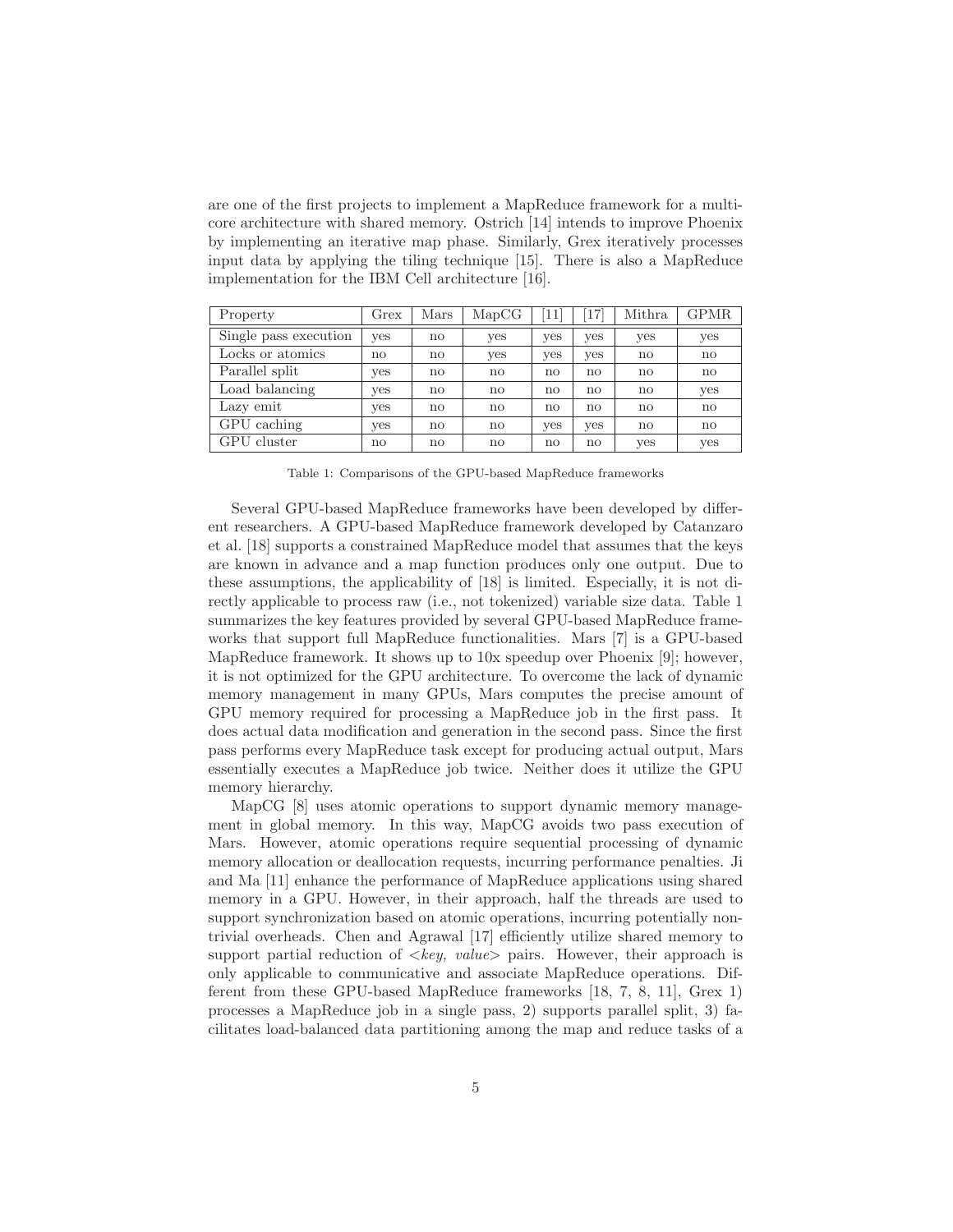are one of the first projects to implement a MapReduce framework for a multicore architecture with shared memory. Ostrich [14] intends to improve Phoenix by implementing an iterative map phase. Similarly, Grex iteratively processes input data by applying the tiling technique [15]. There is also a MapReduce implementation for the IBM Cell architecture [16].

| Property              | Grex | Mars | MapCG         | 11  | 17  | Mithra       | GPMR |
|-----------------------|------|------|---------------|-----|-----|--------------|------|
| Single pass execution | yes  | no   | yes           | yes | yes | yes          | yes  |
| Locks or atomics      | no   | no   | yes           | yes | yes | $\mathbf{n}$ | no   |
| Parallel split        | yes  | no   | $\mathbf{n}$  | no  | no  | $\mathbf{n}$ | no   |
| Load balancing        | yes  | no   | $\mathbf{no}$ | no  | no  | $\mathbf{n}$ | yes  |
| Lazy emit             | yes  | no   | $\mathbf{n}$  | no  | no  | $\mathbf{n}$ | no   |
| GPU caching           | yes  | no   | no            | yes | yes | $\mathbf{n}$ | no   |
| GPU cluster           | no   | no   | $\mathbf{n}$  | no  | no  | yes          | yes  |

Table 1: Comparisons of the GPU-based MapReduce frameworks

Several GPU-based MapReduce frameworks have been developed by different researchers. A GPU-based MapReduce framework developed by Catanzaro et al. [18] supports a constrained MapReduce model that assumes that the keys are known in advance and a map function produces only one output. Due to these assumptions, the applicability of [18] is limited. Especially, it is not directly applicable to process raw (i.e., not tokenized) variable size data. Table 1 summarizes the key features provided by several GPU-based MapReduce frameworks that support full MapReduce functionalities. Mars [7] is a GPU-based MapReduce framework. It shows up to  $10x$  speedup over Phoenix [9]; however, it is not optimized for the GPU architecture. To overcome the lack of dynamic memory management in many GPUs, Mars computes the precise amount of GPU memory required for processing a MapReduce job in the first pass. It does actual data modification and generation in the second pass. Since the first pass performs every MapReduce task except for producing actual output, Mars essentially executes a MapReduce job twice. Neither does it utilize the GPU memory hierarchy.

MapCG [8] uses atomic operations to support dynamic memory management in global memory. In this way, MapCG avoids two pass execution of Mars. However, atomic operations require sequential processing of dynamic memory allocation or deallocation requests, incurring performance penalties. Ji and Ma [11] enhance the performance of MapReduce applications using shared memory in a GPU. However, in their approach, half the threads are used to support synchronization based on atomic operations, incurring potentially nontrivial overheads. Chen and Agrawal [17] efficiently utilize shared memory to support partial reduction of  $\langle key, value \rangle$  pairs. However, their approach is only applicable to communicative and associate MapReduce operations. Different from these GPU-based MapReduce frameworks [18, 7, 8, 11], Grex 1) processes a MapReduce job in a single pass, 2) supports parallel split, 3) facilitates load-balanced data partitioning among the map and reduce tasks of a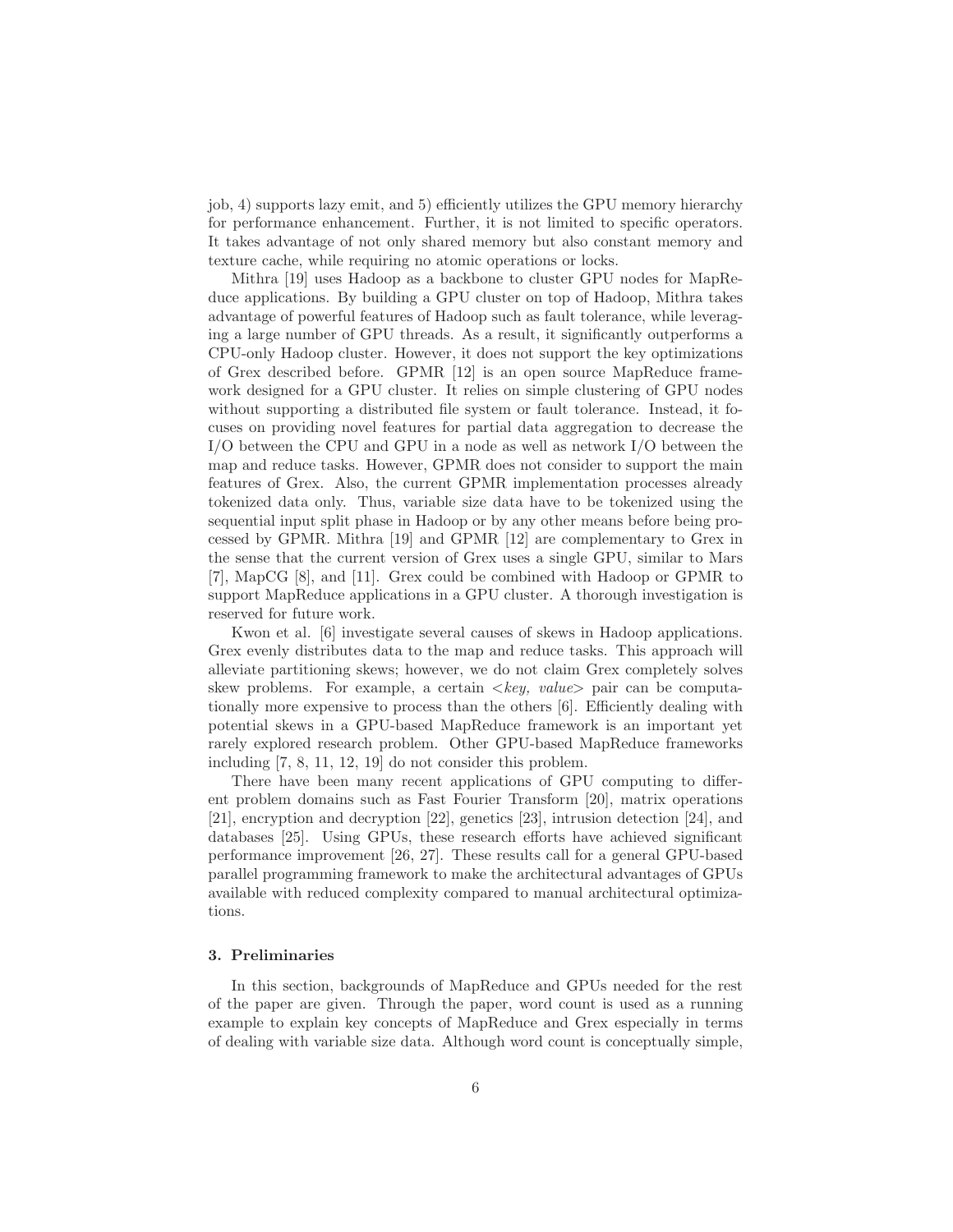job, 4) supports lazy emit, and 5) efficiently utilizes the GPU memory hierarchy for performance enhancement. Further, it is not limited to specific operators. It takes advantage of not only shared memory but also constant memory and texture cache, while requiring no atomic operations or locks.

Mithra [19] uses Hadoop as a backbone to cluster GPU nodes for MapReduce applications. By building a GPU cluster on top of Hadoop, Mithra takes advantage of powerful features of Hadoop such as fault tolerance, while leveraging a large number of GPU threads. As a result, it significantly outperforms a CPU-only Hadoop cluster. However, it does not support the key optimizations of Grex described before. GPMR [12] is an open source MapReduce framework designed for a GPU cluster. It relies on simple clustering of GPU nodes without supporting a distributed file system or fault tolerance. Instead, it focuses on providing novel features for partial data aggregation to decrease the I/O between the CPU and GPU in a node as well as network I/O between the map and reduce tasks. However, GPMR does not consider to support the main features of Grex. Also, the current GPMR implementation processes already tokenized data only. Thus, variable size data have to be tokenized using the sequential input split phase in Hadoop or by any other means before being processed by GPMR. Mithra [19] and GPMR [12] are complementary to Grex in the sense that the current version of Grex uses a single GPU, similar to Mars [7], MapCG [8], and [11]. Grex could be combined with Hadoop or GPMR to support MapReduce applications in a GPU cluster. A thorough investigation is reserved for future work.

Kwon et al. [6] investigate several causes of skews in Hadoop applications. Grex evenly distributes data to the map and reduce tasks. This approach will alleviate partitioning skews; however, we do not claim Grex completely solves skew problems. For example, a certain  $\langle key, value \rangle$  pair can be computationally more expensive to process than the others [6]. Efficiently dealing with potential skews in a GPU-based MapReduce framework is an important yet rarely explored research problem. Other GPU-based MapReduce frameworks including [7, 8, 11, 12, 19] do not consider this problem.

There have been many recent applications of GPU computing to different problem domains such as Fast Fourier Transform [20], matrix operations [21], encryption and decryption [22], genetics [23], intrusion detection [24], and databases [25]. Using GPUs, these research efforts have achieved significant performance improvement [26, 27]. These results call for a general GPU-based parallel programming framework to make the architectural advantages of GPUs available with reduced complexity compared to manual architectural optimizations.

### 3. Preliminaries

In this section, backgrounds of MapReduce and GPUs needed for the rest of the paper are given. Through the paper, word count is used as a running example to explain key concepts of MapReduce and Grex especially in terms of dealing with variable size data. Although word count is conceptually simple,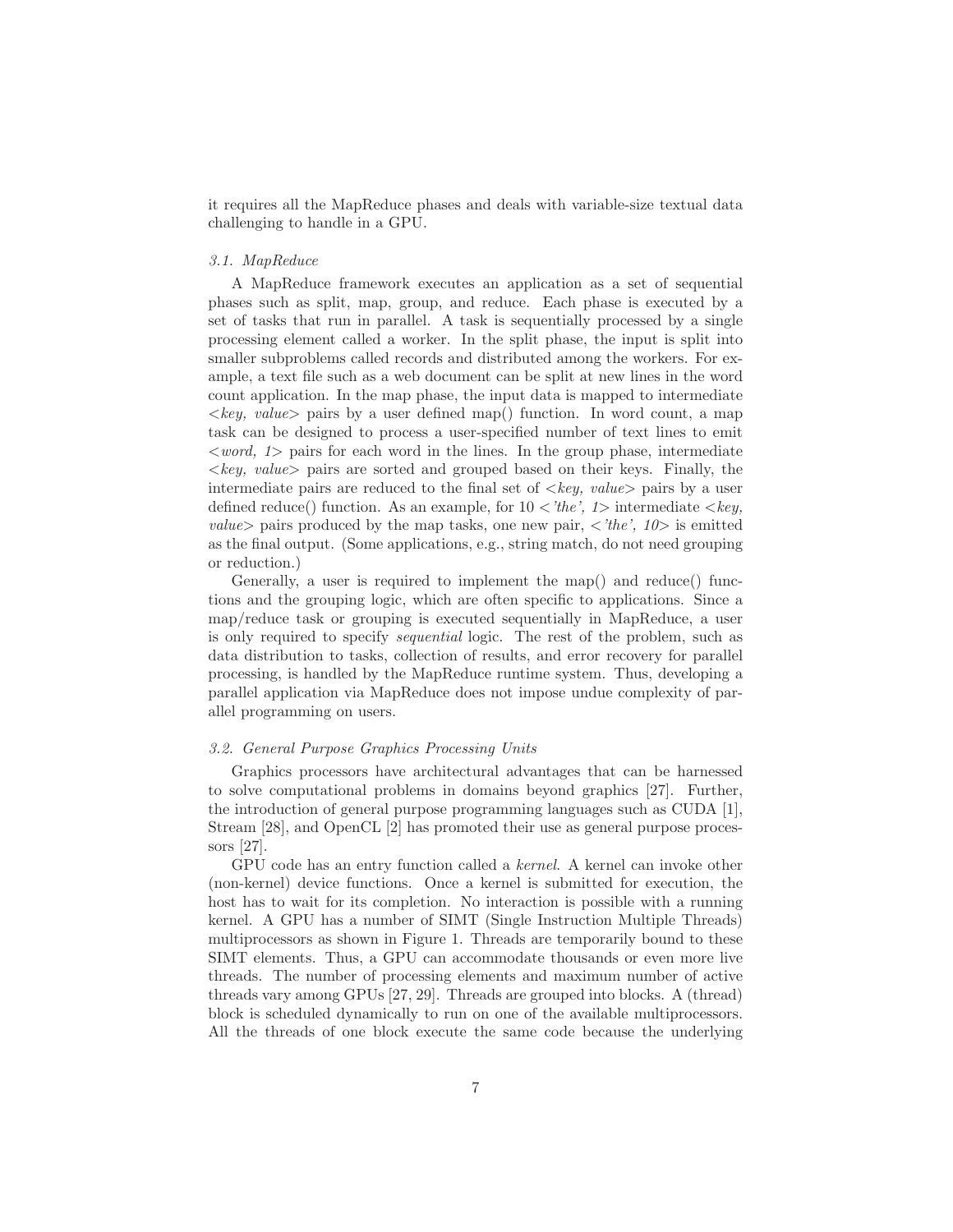it requires all the MapReduce phases and deals with variable-size textual data challenging to handle in a GPU.

### 3.1. MapReduce

A MapReduce framework executes an application as a set of sequential phases such as split, map, group, and reduce. Each phase is executed by a set of tasks that run in parallel. A task is sequentially processed by a single processing element called a worker. In the split phase, the input is split into smaller subproblems called records and distributed among the workers. For example, a text file such as a web document can be split at new lines in the word count application. In the map phase, the input data is mapped to intermediate  $\langle key, value \rangle$  pairs by a user defined map() function. In word count, a map task can be designed to process a user-specified number of text lines to emit  $\langle word, 1 \rangle$  pairs for each word in the lines. In the group phase, intermediate  $\langle key, value \rangle$  pairs are sorted and grouped based on their keys. Finally, the intermediate pairs are reduced to the final set of  $\langle key, value \rangle$  pairs by a user defined reduce() function. As an example, for  $10 \lt \textit{the'}$ ,  $1$  intermediate  $\lt \textit{key}$ , value pairs produced by the map tasks, one new pair,  $\langle 'the', 10 \rangle$  is emitted as the final output. (Some applications, e.g., string match, do not need grouping or reduction.)

Generally, a user is required to implement the map() and reduce() functions and the grouping logic, which are often specific to applications. Since a map/reduce task or grouping is executed sequentially in MapReduce, a user is only required to specify sequential logic. The rest of the problem, such as data distribution to tasks, collection of results, and error recovery for parallel processing, is handled by the MapReduce runtime system. Thus, developing a parallel application via MapReduce does not impose undue complexity of parallel programming on users.

## 3.2. General Purpose Graphics Processing Units

Graphics processors have architectural advantages that can be harnessed to solve computational problems in domains beyond graphics [27]. Further, the introduction of general purpose programming languages such as CUDA [1], Stream [28], and OpenCL [2] has promoted their use as general purpose processors [27].

GPU code has an entry function called a kernel. A kernel can invoke other (non-kernel) device functions. Once a kernel is submitted for execution, the host has to wait for its completion. No interaction is possible with a running kernel. A GPU has a number of SIMT (Single Instruction Multiple Threads) multiprocessors as shown in Figure 1. Threads are temporarily bound to these SIMT elements. Thus, a GPU can accommodate thousands or even more live threads. The number of processing elements and maximum number of active threads vary among GPUs [27, 29]. Threads are grouped into blocks. A (thread) block is scheduled dynamically to run on one of the available multiprocessors. All the threads of one block execute the same code because the underlying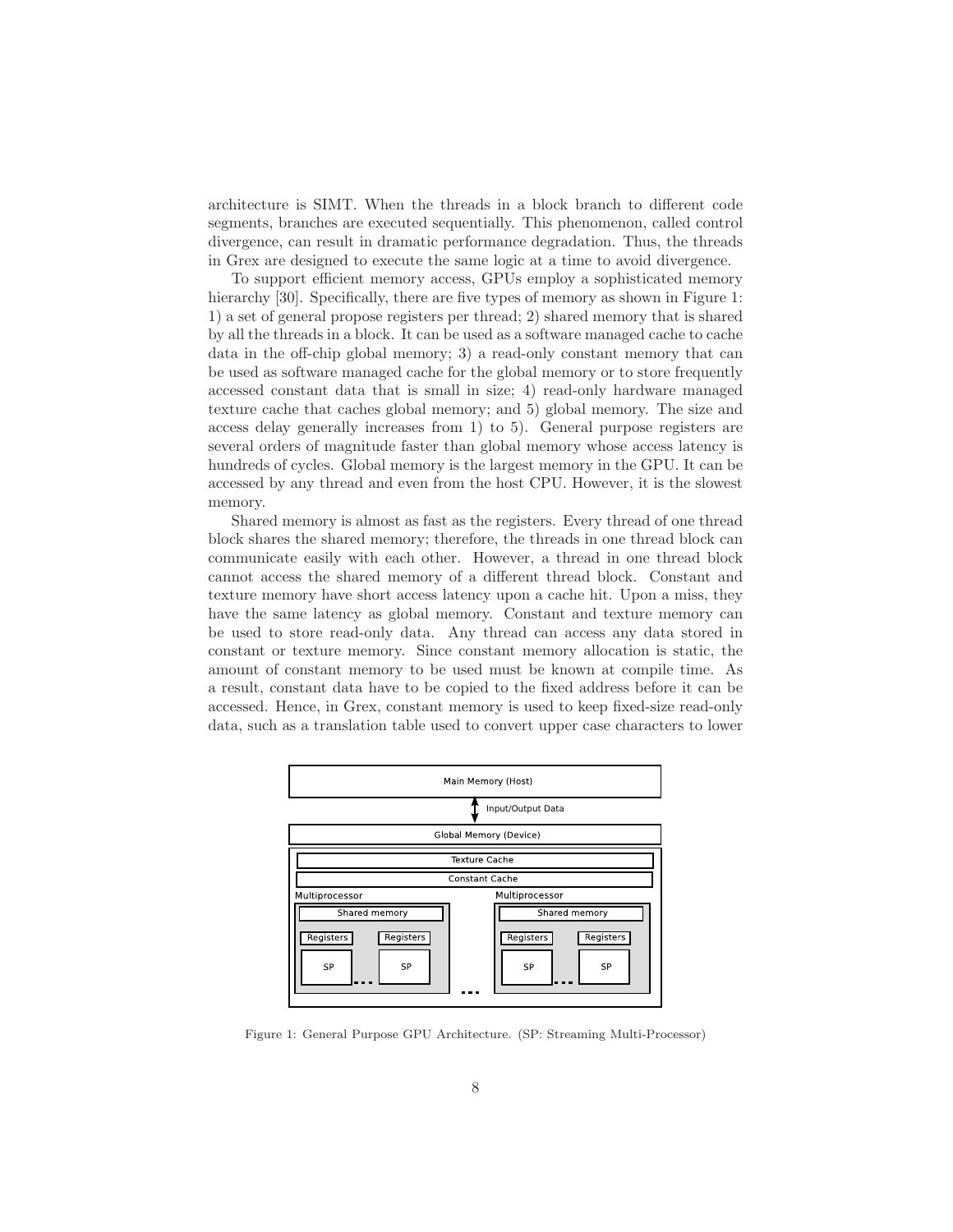architecture is SIMT. When the threads in a block branch to different code segments, branches are executed sequentially. This phenomenon, called control divergence, can result in dramatic performance degradation. Thus, the threads in Grex are designed to execute the same logic at a time to avoid divergence.

To support efficient memory access, GPUs employ a sophisticated memory hierarchy [30]. Specifically, there are five types of memory as shown in Figure 1: 1) a set of general propose registers per thread; 2) shared memory that is shared by all the threads in a block. It can be used as a software managed cache to cache data in the off-chip global memory; 3) a read-only constant memory that can be used as software managed cache for the global memory or to store frequently accessed constant data that is small in size; 4) read-only hardware managed texture cache that caches global memory; and 5) global memory. The size and access delay generally increases from 1) to 5). General purpose registers are several orders of magnitude faster than global memory whose access latency is hundreds of cycles. Global memory is the largest memory in the GPU. It can be accessed by any thread and even from the host CPU. However, it is the slowest memory.

Shared memory is almost as fast as the registers. Every thread of one thread block shares the shared memory; therefore, the threads in one thread block can communicate easily with each other. However, a thread in one thread block cannot access the shared memory of a different thread block. Constant and texture memory have short access latency upon a cache hit. Upon a miss, they have the same latency as global memory. Constant and texture memory can be used to store read-only data. Any thread can access any data stored in constant or texture memory. Since constant memory allocation is static, the amount of constant memory to be used must be known at compile time. As a result, constant data have to be copied to the fixed address before it can be accessed. Hence, in Grex, constant memory is used to keep fixed-size read-only data, such as a translation table used to convert upper case characters to lower



Figure 1: General Purpose GPU Architecture. (SP: Streaming Multi-Processor)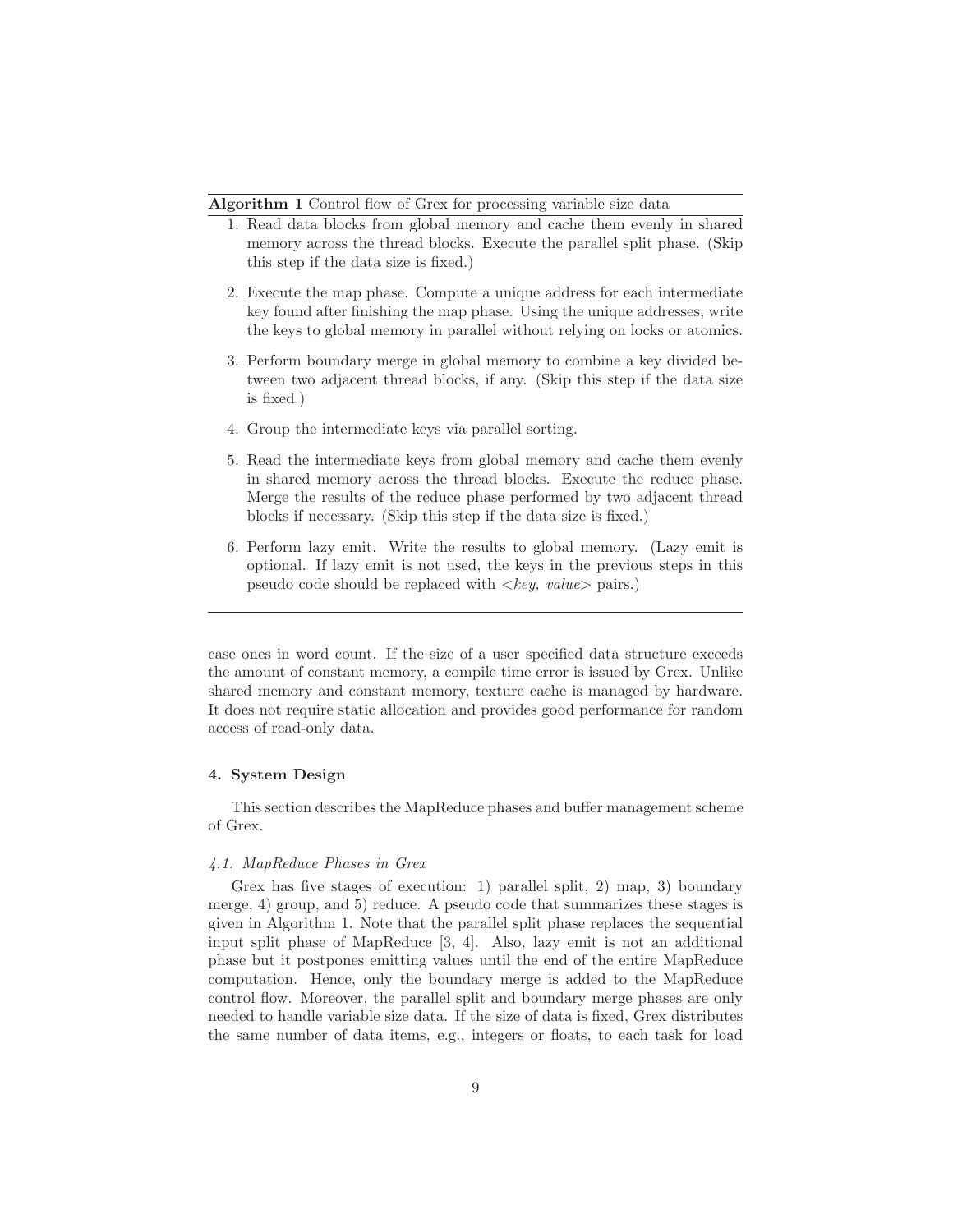Algorithm 1 Control flow of Grex for processing variable size data

- 1. Read data blocks from global memory and cache them evenly in shared memory across the thread blocks. Execute the parallel split phase. (Skip this step if the data size is fixed.)
- 2. Execute the map phase. Compute a unique address for each intermediate key found after finishing the map phase. Using the unique addresses, write the keys to global memory in parallel without relying on locks or atomics.
- 3. Perform boundary merge in global memory to combine a key divided between two adjacent thread blocks, if any. (Skip this step if the data size is fixed.)
- 4. Group the intermediate keys via parallel sorting.
- 5. Read the intermediate keys from global memory and cache them evenly in shared memory across the thread blocks. Execute the reduce phase. Merge the results of the reduce phase performed by two adjacent thread blocks if necessary. (Skip this step if the data size is fixed.)
- 6. Perform lazy emit. Write the results to global memory. (Lazy emit is optional. If lazy emit is not used, the keys in the previous steps in this pseudo code should be replaced with  $\langle key, value \rangle$  pairs.)

case ones in word count. If the size of a user specified data structure exceeds the amount of constant memory, a compile time error is issued by Grex. Unlike shared memory and constant memory, texture cache is managed by hardware. It does not require static allocation and provides good performance for random access of read-only data.

# 4. System Design

This section describes the MapReduce phases and buffer management scheme of Grex.

## 4.1. MapReduce Phases in Grex

Grex has five stages of execution: 1) parallel split, 2) map, 3) boundary merge, 4) group, and 5) reduce. A pseudo code that summarizes these stages is given in Algorithm 1. Note that the parallel split phase replaces the sequential input split phase of MapReduce [3, 4]. Also, lazy emit is not an additional phase but it postpones emitting values until the end of the entire MapReduce computation. Hence, only the boundary merge is added to the MapReduce control flow. Moreover, the parallel split and boundary merge phases are only needed to handle variable size data. If the size of data is fixed, Grex distributes the same number of data items, e.g., integers or floats, to each task for load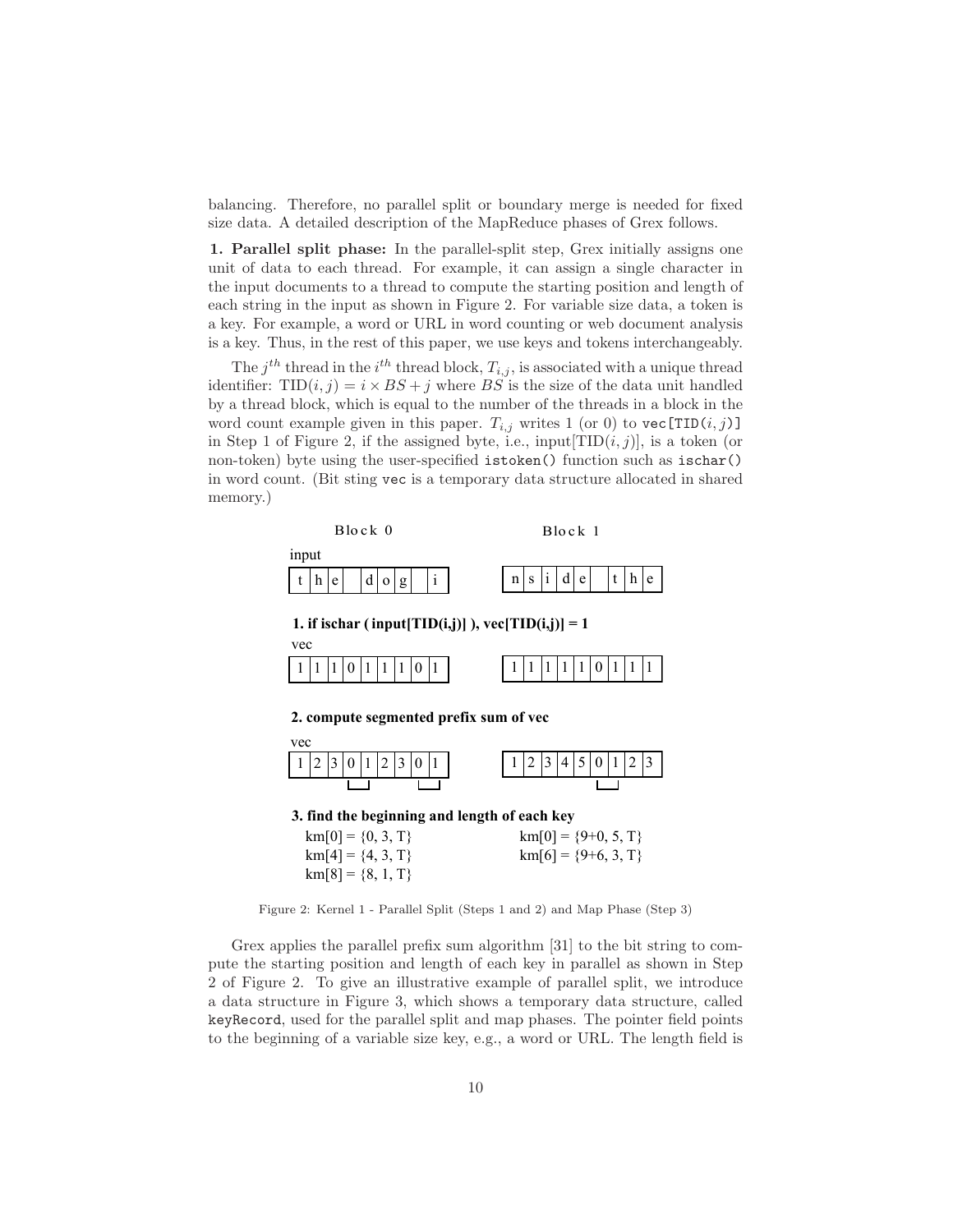balancing. Therefore, no parallel split or boundary merge is needed for fixed size data. A detailed description of the MapReduce phases of Grex follows.

1. Parallel split phase: In the parallel-split step, Grex initially assigns one unit of data to each thread. For example, it can assign a single character in the input documents to a thread to compute the starting position and length of each string in the input as shown in Figure 2. For variable size data, a token is a key. For example, a word or URL in word counting or web document analysis is a key. Thus, in the rest of this paper, we use keys and tokens interchangeably.

The  $j^{th}$  thread in the  $i^{th}$  thread block,  $T_{i,j}$ , is associated with a unique thread identifier:  $TID(i, j) = i \times BS + j$  where BS is the size of the data unit handled by a thread block, which is equal to the number of the threads in a block in the word count example given in this paper.  $T_{i,j}$  writes 1 (or 0) to vec [TID(i, j)] in Step 1 of Figure 2, if the assigned byte, i.e., input  $[TID(i, j)]$ , is a token (or non-token) byte using the user-specified istoken() function such as ischar() in word count. (Bit sting vec is a temporary data structure allocated in shared memory.)



Figure 2: Kernel 1 - Parallel Split (Steps 1 and 2) and Map Phase (Step 3)

Grex applies the parallel prefix sum algorithm [31] to the bit string to compute the starting position and length of each key in parallel as shown in Step 2 of Figure 2. To give an illustrative example of parallel split, we introduce a data structure in Figure 3, which shows a temporary data structure, called keyRecord, used for the parallel split and map phases. The pointer field points to the beginning of a variable size key, e.g., a word or URL. The length field is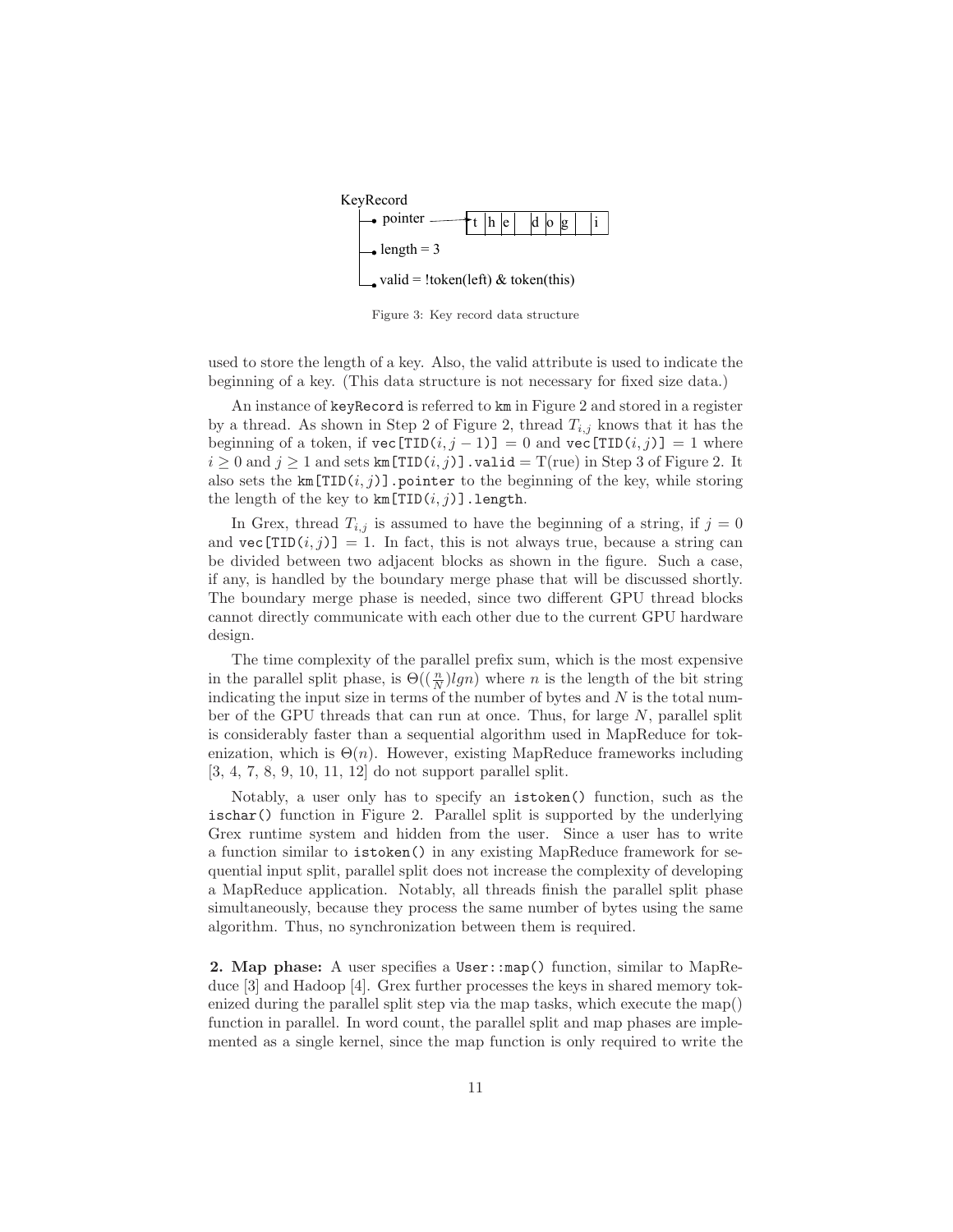

Figure 3: Key record data structure

used to store the length of a key. Also, the valid attribute is used to indicate the beginning of a key. (This data structure is not necessary for fixed size data.)

An instance of keyRecord is referred to km in Figure 2 and stored in a register by a thread. As shown in Step 2 of Figure 2, thread  $T_{i,j}$  knows that it has the beginning of a token, if  $\text{vec}[TID(i, j - 1)] = 0$  and  $\text{vec}[TID(i, j)] = 1$  where  $i \geq 0$  and  $j \geq 1$  and sets km[TID $(i, j)$ ]. valid = T(rue) in Step 3 of Figure 2. It also sets the  $km[TID(i, j)]$ . pointer to the beginning of the key, while storing the length of the key to  $km[TID(i, j)]$ . length.

In Grex, thread  $T_{i,j}$  is assumed to have the beginning of a string, if  $j = 0$ and  $\text{vec}[TID(i, j)] = 1$ . In fact, this is not always true, because a string can be divided between two adjacent blocks as shown in the figure. Such a case, if any, is handled by the boundary merge phase that will be discussed shortly. The boundary merge phase is needed, since two different GPU thread blocks cannot directly communicate with each other due to the current GPU hardware design.

The time complexity of the parallel prefix sum, which is the most expensive in the parallel split phase, is  $\Theta(\left(\frac{n}{N}\right) \mid gn)$  where n is the length of the bit string indicating the input size in terms of the number of bytes and  $N$  is the total number of the GPU threads that can run at once. Thus, for large N, parallel split is considerably faster than a sequential algorithm used in MapReduce for tokenization, which is  $\Theta(n)$ . However, existing MapReduce frameworks including [3, 4, 7, 8, 9, 10, 11, 12] do not support parallel split.

Notably, a user only has to specify an istoken() function, such as the ischar() function in Figure 2. Parallel split is supported by the underlying Grex runtime system and hidden from the user. Since a user has to write a function similar to istoken() in any existing MapReduce framework for sequential input split, parallel split does not increase the complexity of developing a MapReduce application. Notably, all threads finish the parallel split phase simultaneously, because they process the same number of bytes using the same algorithm. Thus, no synchronization between them is required.

2. Map phase: A user specifies a User::map() function, similar to MapReduce [3] and Hadoop [4]. Grex further processes the keys in shared memory tokenized during the parallel split step via the map tasks, which execute the map() function in parallel. In word count, the parallel split and map phases are implemented as a single kernel, since the map function is only required to write the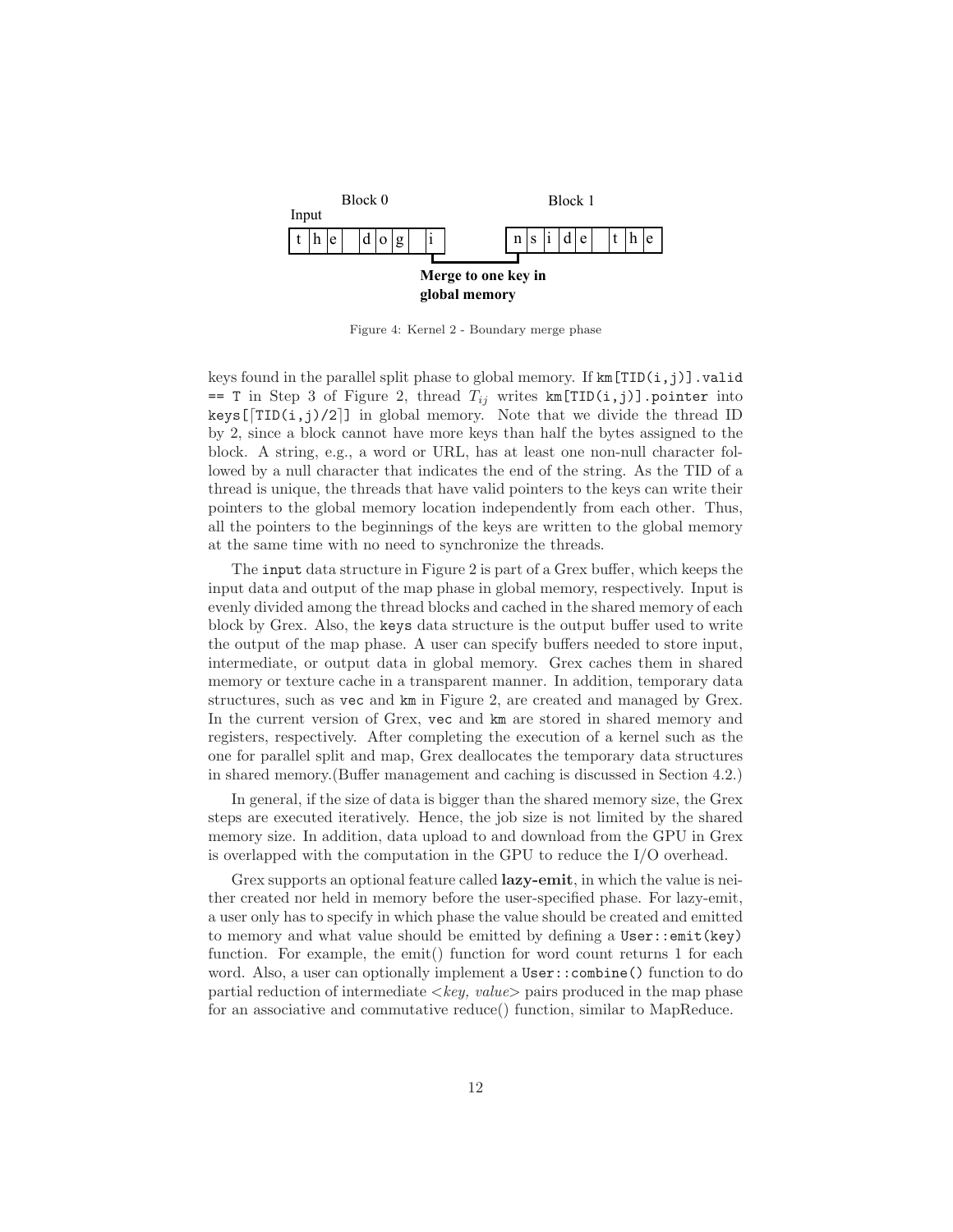

Figure 4: Kernel 2 - Boundary merge phase

keys found in the parallel split phase to global memory. If  $km[TID(i,j)]$ . valid == T in Step 3 of Figure 2, thread  $T_{ij}$  writes km[TID(i,j)].pointer into keys  $[\text{TID}(i,j)/2]$  in global memory. Note that we divide the thread ID by 2, since a block cannot have more keys than half the bytes assigned to the block. A string, e.g., a word or URL, has at least one non-null character followed by a null character that indicates the end of the string. As the TID of a thread is unique, the threads that have valid pointers to the keys can write their pointers to the global memory location independently from each other. Thus, all the pointers to the beginnings of the keys are written to the global memory at the same time with no need to synchronize the threads.

The input data structure in Figure 2 is part of a Grex buffer, which keeps the input data and output of the map phase in global memory, respectively. Input is evenly divided among the thread blocks and cached in the shared memory of each block by Grex. Also, the keys data structure is the output buffer used to write the output of the map phase. A user can specify buffers needed to store input, intermediate, or output data in global memory. Grex caches them in shared memory or texture cache in a transparent manner. In addition, temporary data structures, such as vec and km in Figure 2, are created and managed by Grex. In the current version of Grex, vec and km are stored in shared memory and registers, respectively. After completing the execution of a kernel such as the one for parallel split and map, Grex deallocates the temporary data structures in shared memory.(Buffer management and caching is discussed in Section 4.2.)

In general, if the size of data is bigger than the shared memory size, the Grex steps are executed iteratively. Hence, the job size is not limited by the shared memory size. In addition, data upload to and download from the GPU in Grex is overlapped with the computation in the GPU to reduce the I/O overhead.

Grex supports an optional feature called **lazy-emit**, in which the value is neither created nor held in memory before the user-specified phase. For lazy-emit, a user only has to specify in which phase the value should be created and emitted to memory and what value should be emitted by defining a User::emit(key) function. For example, the emit() function for word count returns 1 for each word. Also, a user can optionally implement a User::combine() function to do partial reduction of intermediate  $\langle key, value \rangle$  pairs produced in the map phase for an associative and commutative reduce() function, similar to MapReduce.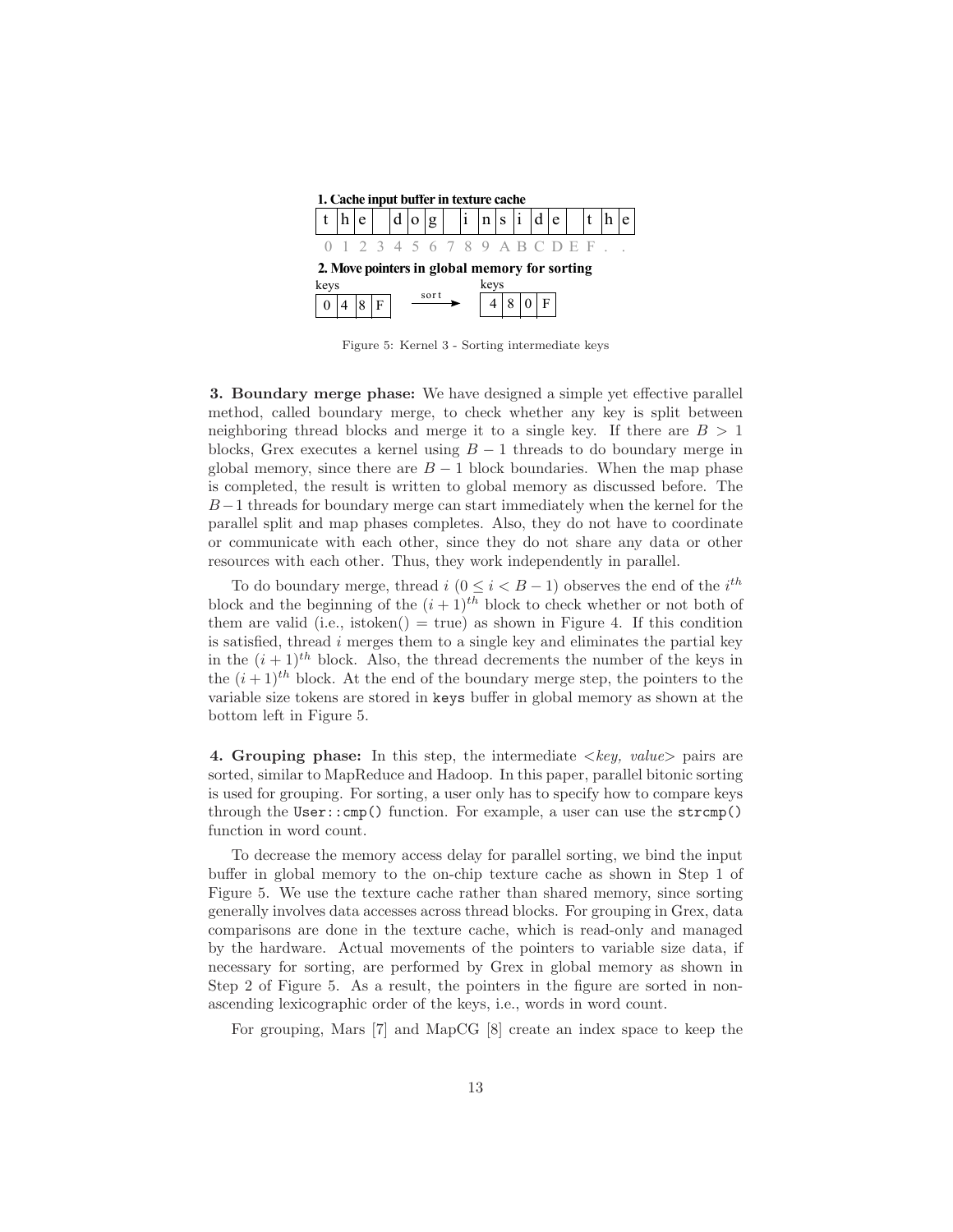

Figure 5: Kernel 3 - Sorting intermediate keys

3. Boundary merge phase: We have designed a simple yet effective parallel method, called boundary merge, to check whether any key is split between neighboring thread blocks and merge it to a single key. If there are  $B > 1$ blocks, Grex executes a kernel using  $B-1$  threads to do boundary merge in global memory, since there are  $B-1$  block boundaries. When the map phase is completed, the result is written to global memory as discussed before. The  $B-1$  threads for boundary merge can start immediately when the kernel for the parallel split and map phases completes. Also, they do not have to coordinate or communicate with each other, since they do not share any data or other resources with each other. Thus, they work independently in parallel.

To do boundary merge, thread  $i$   $(0 \leq i < B - 1)$  observes the end of the  $i^{th}$ block and the beginning of the  $(i + 1)^{th}$  block to check whether or not both of them are valid (i.e., istoken() = true) as shown in Figure 4. If this condition is satisfied, thread  $i$  merges them to a single key and eliminates the partial key in the  $(i + 1)$ <sup>th</sup> block. Also, the thread decrements the number of the keys in the  $(i+1)^{th}$  block. At the end of the boundary merge step, the pointers to the variable size tokens are stored in keys buffer in global memory as shown at the bottom left in Figure 5.

4. Grouping phase: In this step, the intermediate  $\langle key, value \rangle$  pairs are sorted, similar to MapReduce and Hadoop. In this paper, parallel bitonic sorting is used for grouping. For sorting, a user only has to specify how to compare keys through the  $User::cmp()$  function. For example, a user can use the  $strcmp()$ function in word count.

To decrease the memory access delay for parallel sorting, we bind the input buffer in global memory to the on-chip texture cache as shown in Step 1 of Figure 5. We use the texture cache rather than shared memory, since sorting generally involves data accesses across thread blocks. For grouping in Grex, data comparisons are done in the texture cache, which is read-only and managed by the hardware. Actual movements of the pointers to variable size data, if necessary for sorting, are performed by Grex in global memory as shown in Step 2 of Figure 5. As a result, the pointers in the figure are sorted in nonascending lexicographic order of the keys, i.e., words in word count.

For grouping, Mars [7] and MapCG [8] create an index space to keep the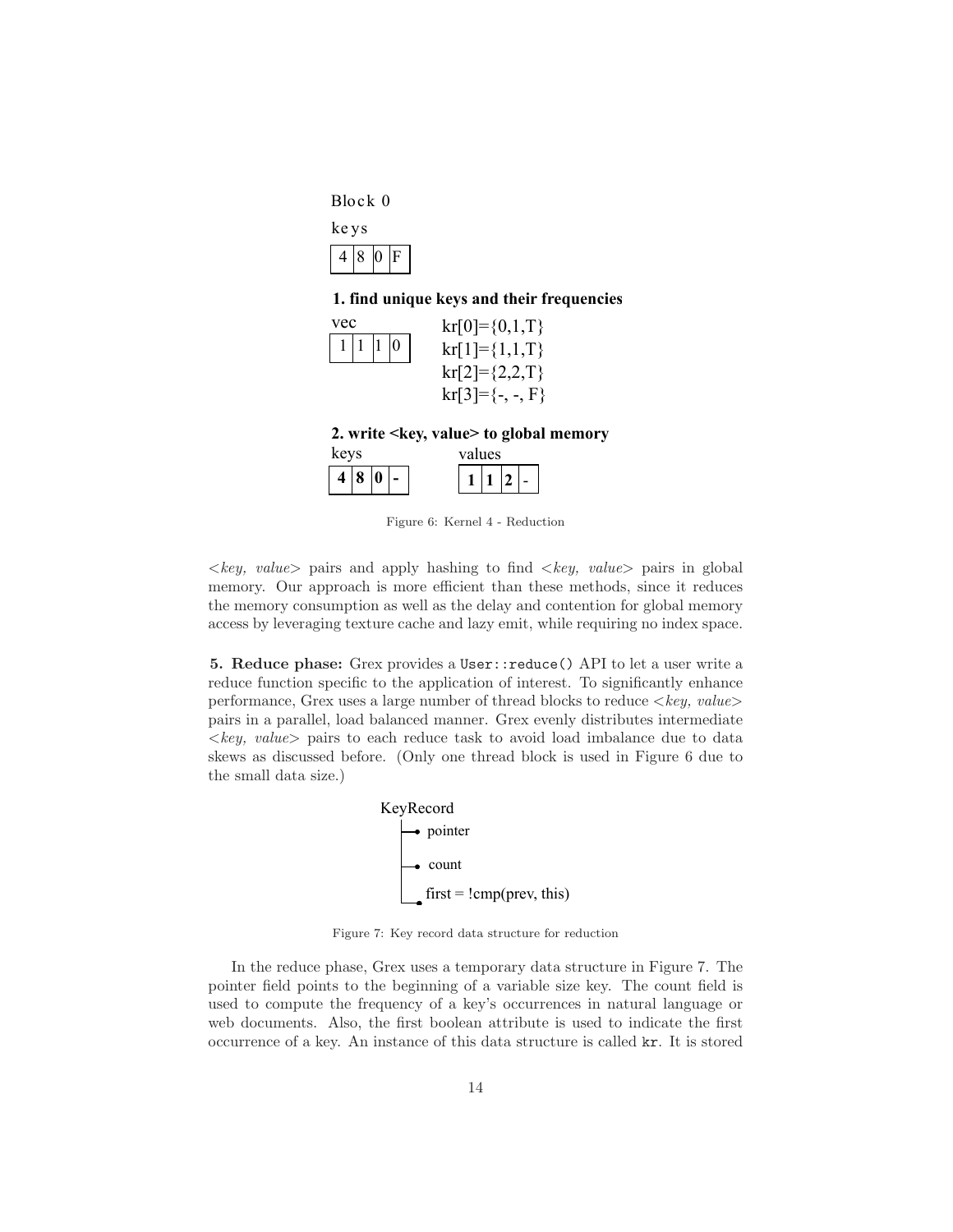Block 0

| ke.<br>y S |    |   |   |  |  |  |  |
|------------|----|---|---|--|--|--|--|
| 4          | 18 | 0 | F |  |  |  |  |

# **1. find unique keys and their frequencies**



**2. write <key, value> to global memory**

| keys |                  |   | values |  |  |  |  |
|------|------------------|---|--------|--|--|--|--|
| 4    | $\boldsymbol{8}$ | v |        |  |  |  |  |

Figure 6: Kernel 4 - Reduction

 $\langle key, value \rangle$  pairs and apply hashing to find  $\langle key, value \rangle$  pairs in global memory. Our approach is more efficient than these methods, since it reduces the memory consumption as well as the delay and contention for global memory access by leveraging texture cache and lazy emit, while requiring no index space.

5. Reduce phase: Grex provides a User::reduce() API to let a user write a reduce function specific to the application of interest. To significantly enhance performance, Grex uses a large number of thread blocks to reduce  $\langle key, value \rangle$ pairs in a parallel, load balanced manner. Grex evenly distributes intermediate  $\langle key, value \rangle$  pairs to each reduce task to avoid load imbalance due to data skews as discussed before. (Only one thread block is used in Figure 6 due to the small data size.)



Figure 7: Key record data structure for reduction

In the reduce phase, Grex uses a temporary data structure in Figure 7. The pointer field points to the beginning of a variable size key. The count field is used to compute the frequency of a key's occurrences in natural language or web documents. Also, the first boolean attribute is used to indicate the first occurrence of a key. An instance of this data structure is called kr. It is stored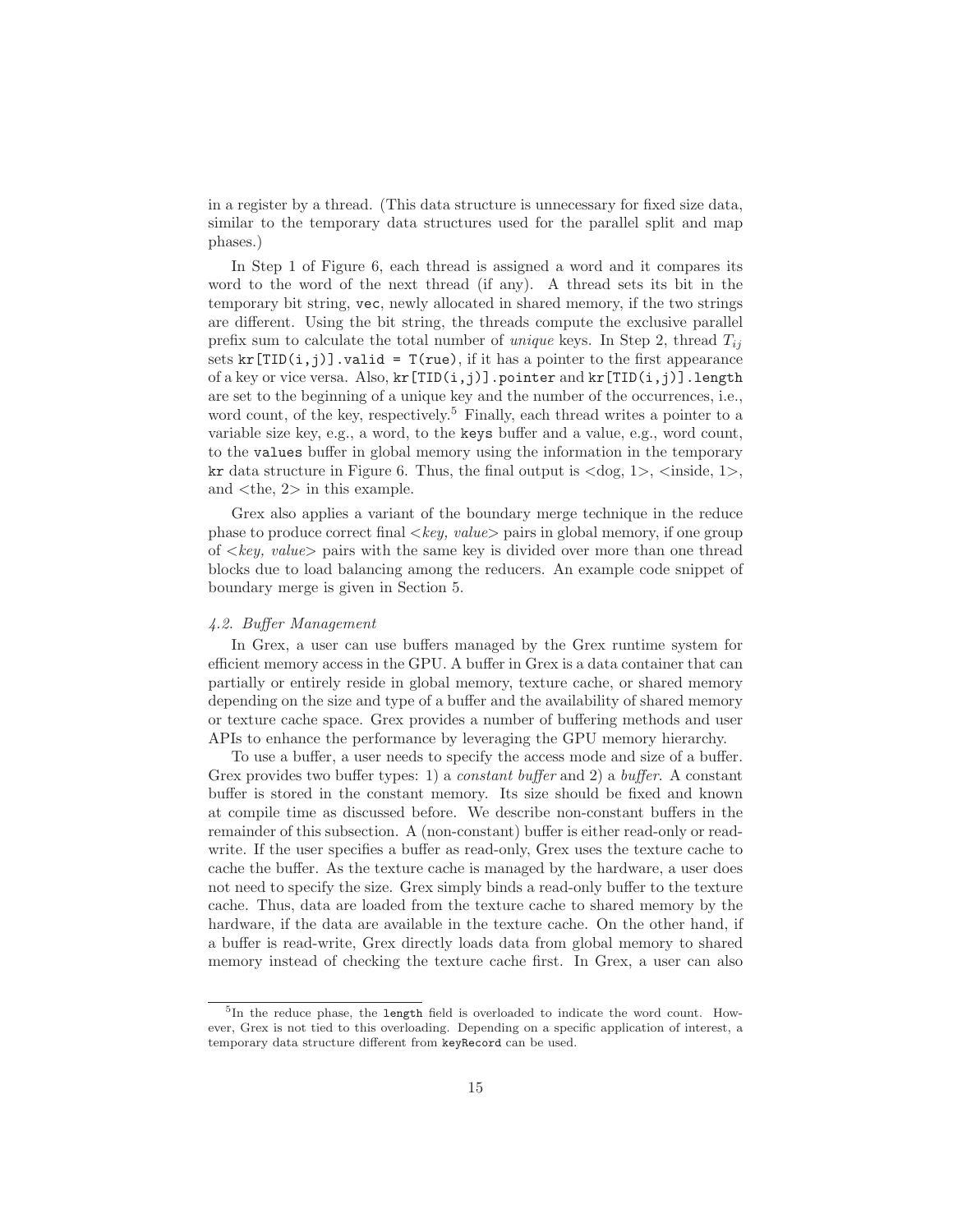in a register by a thread. (This data structure is unnecessary for fixed size data, similar to the temporary data structures used for the parallel split and map phases.)

In Step 1 of Figure 6, each thread is assigned a word and it compares its word to the word of the next thread (if any). A thread sets its bit in the temporary bit string, vec, newly allocated in shared memory, if the two strings are different. Using the bit string, the threads compute the exclusive parallel prefix sum to calculate the total number of *unique* keys. In Step 2, thread  $T_{ij}$ sets  $kr[TID(i,j)]$ . valid = T(rue), if it has a pointer to the first appearance of a key or vice versa. Also,  $kr[TID(i,j)]$ . pointer and  $kr[TID(i,j)]$ . length are set to the beginning of a unique key and the number of the occurrences, i.e., word count, of the key, respectively.<sup>5</sup> Finally, each thread writes a pointer to a variable size key, e.g., a word, to the keys buffer and a value, e.g., word count, to the values buffer in global memory using the information in the temporary kr data structure in Figure 6. Thus, the final output is  $\langle \text{dog}, 1 \rangle$ ,  $\langle \text{inside}, 1 \rangle$ , and <the, 2> in this example.

Grex also applies a variant of the boundary merge technique in the reduce phase to produce correct final  $\langle key, value \rangle$  pairs in global memory, if one group of  $\langle \text{key}, \text{value} \rangle$  pairs with the same key is divided over more than one thread blocks due to load balancing among the reducers. An example code snippet of boundary merge is given in Section 5.

### 4.2. Buffer Management

In Grex, a user can use buffers managed by the Grex runtime system for efficient memory access in the GPU. A buffer in Grex is a data container that can partially or entirely reside in global memory, texture cache, or shared memory depending on the size and type of a buffer and the availability of shared memory or texture cache space. Grex provides a number of buffering methods and user APIs to enhance the performance by leveraging the GPU memory hierarchy.

To use a buffer, a user needs to specify the access mode and size of a buffer. Grex provides two buffer types: 1) a *constant buffer* and 2) a *buffer*. A constant buffer is stored in the constant memory. Its size should be fixed and known at compile time as discussed before. We describe non-constant buffers in the remainder of this subsection. A (non-constant) buffer is either read-only or readwrite. If the user specifies a buffer as read-only, Grex uses the texture cache to cache the buffer. As the texture cache is managed by the hardware, a user does not need to specify the size. Grex simply binds a read-only buffer to the texture cache. Thus, data are loaded from the texture cache to shared memory by the hardware, if the data are available in the texture cache. On the other hand, if a buffer is read-write, Grex directly loads data from global memory to shared memory instead of checking the texture cache first. In Grex, a user can also

<sup>5</sup> In the reduce phase, the length field is overloaded to indicate the word count. However, Grex is not tied to this overloading. Depending on a specific application of interest, a temporary data structure different from keyRecord can be used.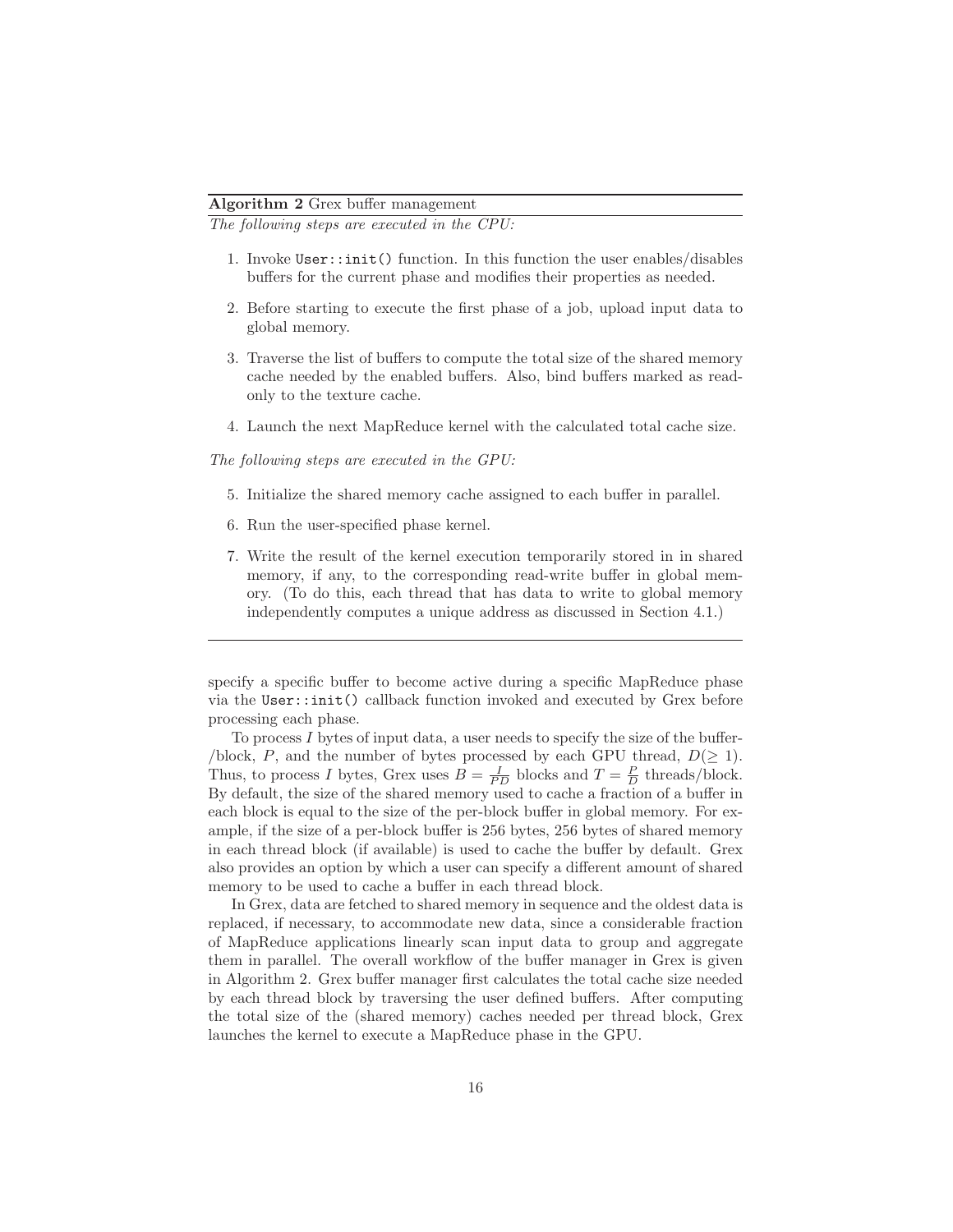# Algorithm 2 Grex buffer management

The following steps are executed in the CPU:

- 1. Invoke User::init() function. In this function the user enables/disables buffers for the current phase and modifies their properties as needed.
- 2. Before starting to execute the first phase of a job, upload input data to global memory.
- 3. Traverse the list of buffers to compute the total size of the shared memory cache needed by the enabled buffers. Also, bind buffers marked as readonly to the texture cache.
- 4. Launch the next MapReduce kernel with the calculated total cache size.

The following steps are executed in the GPU:

- 5. Initialize the shared memory cache assigned to each buffer in parallel.
- 6. Run the user-specified phase kernel.
- 7. Write the result of the kernel execution temporarily stored in in shared memory, if any, to the corresponding read-write buffer in global memory. (To do this, each thread that has data to write to global memory independently computes a unique address as discussed in Section 4.1.)

specify a specific buffer to become active during a specific MapReduce phase via the User::init() callback function invoked and executed by Grex before processing each phase.

To process  $I$  bytes of input data, a user needs to specify the size of the buffer-/block, P, and the number of bytes processed by each GPU thread,  $D(\geq 1)$ . Thus, to process I bytes, Grex uses  $B = \frac{I}{PD}$  blocks and  $T = \frac{P}{D}$  threads/block. By default, the size of the shared memory used to cache a fraction of a buffer in each block is equal to the size of the per-block buffer in global memory. For example, if the size of a per-block buffer is 256 bytes, 256 bytes of shared memory in each thread block (if available) is used to cache the buffer by default. Grex also provides an option by which a user can specify a different amount of shared memory to be used to cache a buffer in each thread block.

In Grex, data are fetched to shared memory in sequence and the oldest data is replaced, if necessary, to accommodate new data, since a considerable fraction of MapReduce applications linearly scan input data to group and aggregate them in parallel. The overall workflow of the buffer manager in Grex is given in Algorithm 2. Grex buffer manager first calculates the total cache size needed by each thread block by traversing the user defined buffers. After computing the total size of the (shared memory) caches needed per thread block, Grex launches the kernel to execute a MapReduce phase in the GPU.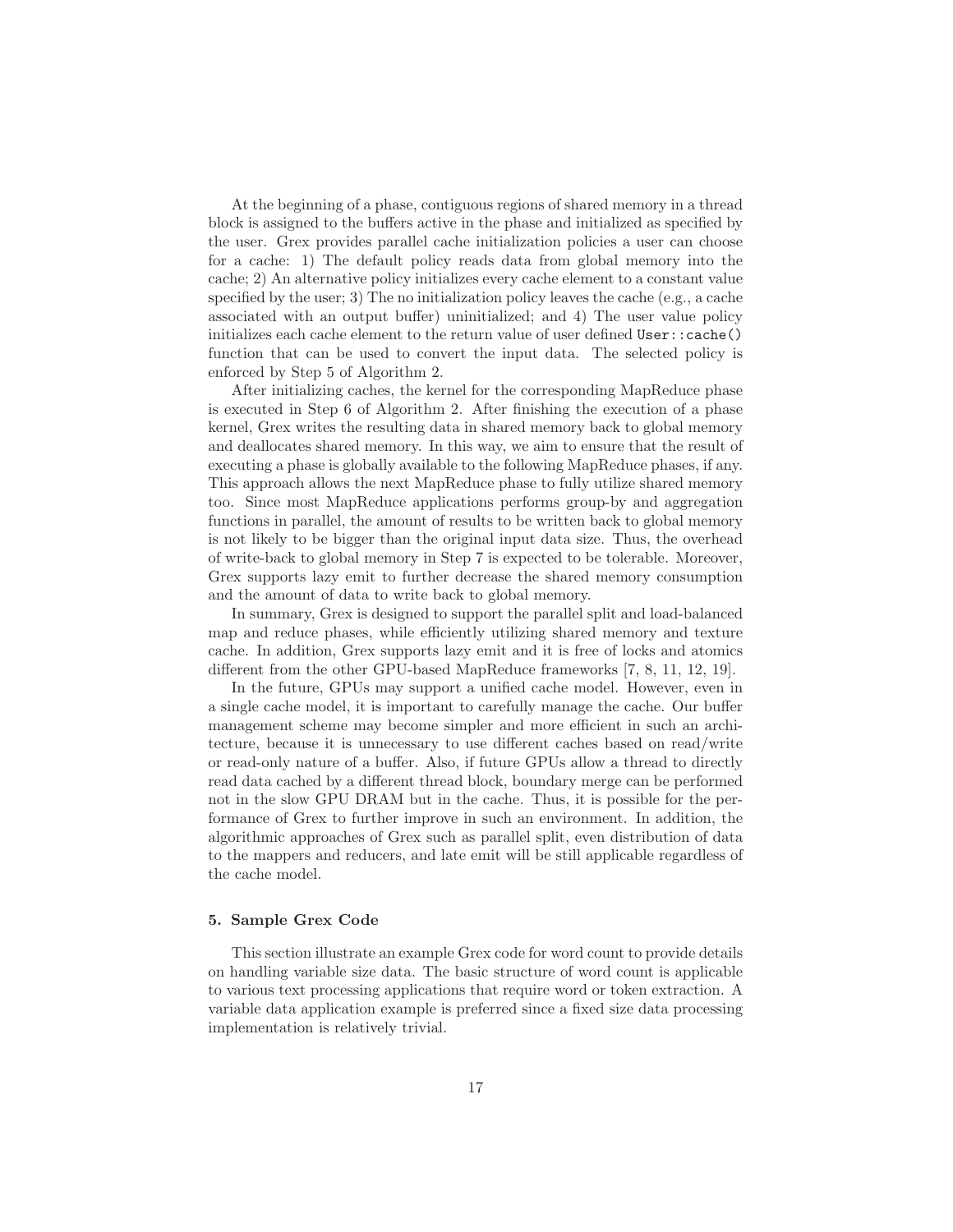At the beginning of a phase, contiguous regions of shared memory in a thread block is assigned to the buffers active in the phase and initialized as specified by the user. Grex provides parallel cache initialization policies a user can choose for a cache: 1) The default policy reads data from global memory into the cache; 2) An alternative policy initializes every cache element to a constant value specified by the user; 3) The no initialization policy leaves the cache (e.g., a cache associated with an output buffer) uninitialized; and 4) The user value policy initializes each cache element to the return value of user defined User::cache() function that can be used to convert the input data. The selected policy is enforced by Step 5 of Algorithm 2.

After initializing caches, the kernel for the corresponding MapReduce phase is executed in Step 6 of Algorithm 2. After finishing the execution of a phase kernel, Grex writes the resulting data in shared memory back to global memory and deallocates shared memory. In this way, we aim to ensure that the result of executing a phase is globally available to the following MapReduce phases, if any. This approach allows the next MapReduce phase to fully utilize shared memory too. Since most MapReduce applications performs group-by and aggregation functions in parallel, the amount of results to be written back to global memory is not likely to be bigger than the original input data size. Thus, the overhead of write-back to global memory in Step 7 is expected to be tolerable. Moreover, Grex supports lazy emit to further decrease the shared memory consumption and the amount of data to write back to global memory.

In summary, Grex is designed to support the parallel split and load-balanced map and reduce phases, while efficiently utilizing shared memory and texture cache. In addition, Grex supports lazy emit and it is free of locks and atomics different from the other GPU-based MapReduce frameworks [7, 8, 11, 12, 19].

In the future, GPUs may support a unified cache model. However, even in a single cache model, it is important to carefully manage the cache. Our buffer management scheme may become simpler and more efficient in such an architecture, because it is unnecessary to use different caches based on read/write or read-only nature of a buffer. Also, if future GPUs allow a thread to directly read data cached by a different thread block, boundary merge can be performed not in the slow GPU DRAM but in the cache. Thus, it is possible for the performance of Grex to further improve in such an environment. In addition, the algorithmic approaches of Grex such as parallel split, even distribution of data to the mappers and reducers, and late emit will be still applicable regardless of the cache model.

## 5. Sample Grex Code

This section illustrate an example Grex code for word count to provide details on handling variable size data. The basic structure of word count is applicable to various text processing applications that require word or token extraction. A variable data application example is preferred since a fixed size data processing implementation is relatively trivial.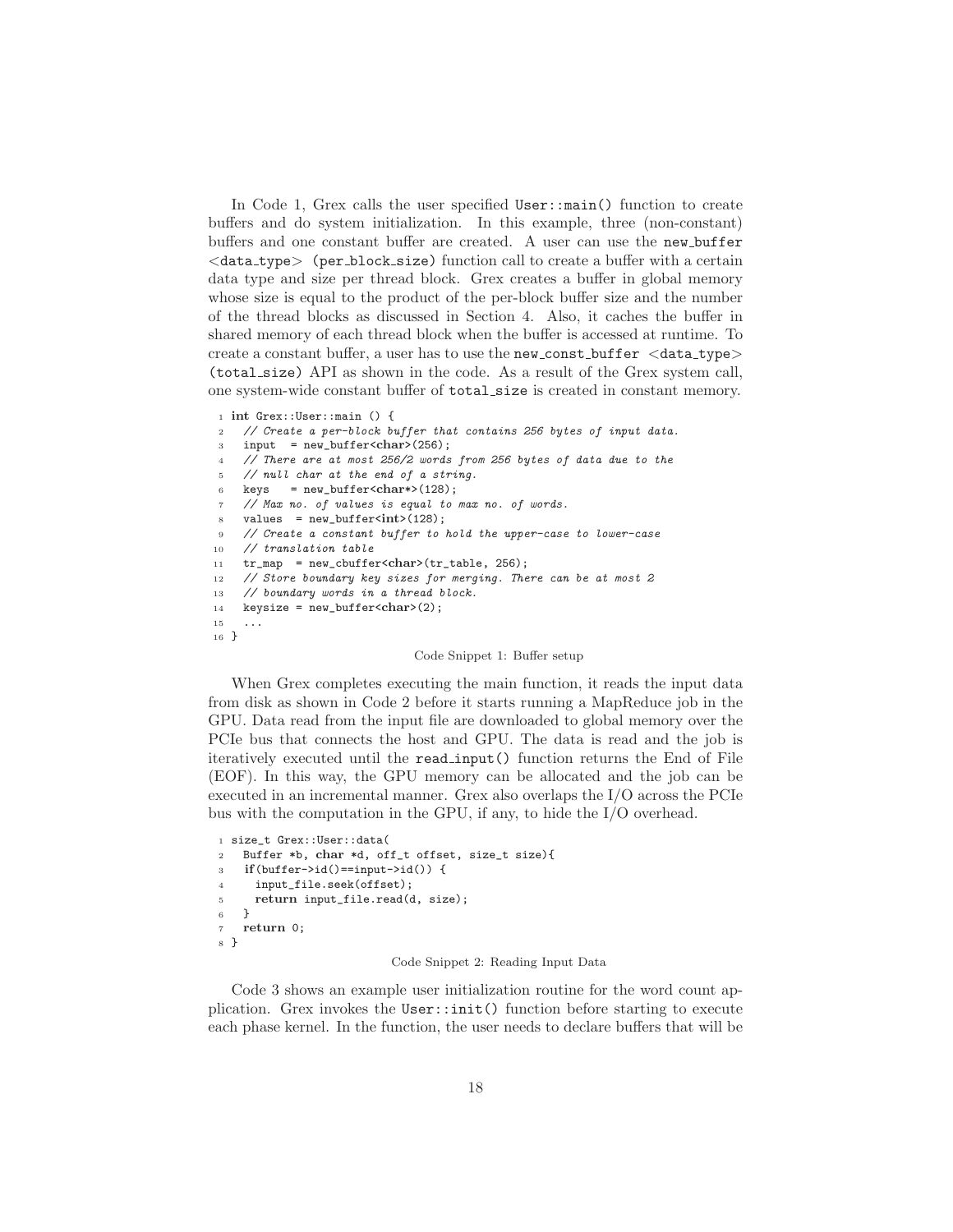In Code 1, Grex calls the user specified  $User::main()$  function to create buffers and do system initialization. In this example, three (non-constant) buffers and one constant buffer are created. A user can use the new buffer  $\langle$  data\_type $\rangle$  (per\_block\_size) function call to create a buffer with a certain data type and size per thread block. Grex creates a buffer in global memory whose size is equal to the product of the per-block buffer size and the number of the thread blocks as discussed in Section 4. Also, it caches the buffer in shared memory of each thread block when the buffer is accessed at runtime. To create a constant buffer, a user has to use the new const buffer  $\langle data_type\rangle$ (total size) API as shown in the code. As a result of the Grex system call, one system-wide constant buffer of total size is created in constant memory.

```
1 int Grex::User::main () {
```

```
2 // Create a per-block buffer that contains 256 bytes of input data.
```
<sup>3</sup> input = new\_buffer<char>(256);

```
4 // There are at most 256/2 words from 256 bytes of data due to the
```
- <sup>5</sup> // null char at the end of a string.
- 6 keys =  $new_buffer{char*}>(128);$
- <sup>7</sup> // Max no. of values is equal to max no. of words.
- $\text{values} = \text{new\_buffer}\times\text{int}\times(128);$

```
9 // Create a constant buffer to hold the upper-case to lower-case
```
- <sup>10</sup> // translation table
- 11  $tr_map = new_cbuffer{char}{tr}_table, 256$ ;

```
12 // Store boundary key sizes for merging. There can be at most 2
```
- 13 // boundary words in a thread block.
- 14 keysize = new\_buffer<char>(2);

```
15 ...
16 }
```
#### Code Snippet 1: Buffer setup

When Grex completes executing the main function, it reads the input data from disk as shown in Code 2 before it starts running a MapReduce job in the GPU. Data read from the input file are downloaded to global memory over the PCIe bus that connects the host and GPU. The data is read and the job is iteratively executed until the read input() function returns the End of File (EOF). In this way, the GPU memory can be allocated and the job can be executed in an incremental manner. Grex also overlaps the I/O across the PCIe bus with the computation in the GPU, if any, to hide the I/O overhead.

```
1 size_t Grex::User::data(
2 Buffer *b, char *d, off_t offset, size_t size){
3 if(buffer->id()==input->id()) {
4 input file.seek(offset);
5 return input_file.read(d, size);
6 }
7 return 0;
8 }
```
### Code Snippet 2: Reading Input Data

Code 3 shows an example user initialization routine for the word count application. Grex invokes the User::init() function before starting to execute each phase kernel. In the function, the user needs to declare buffers that will be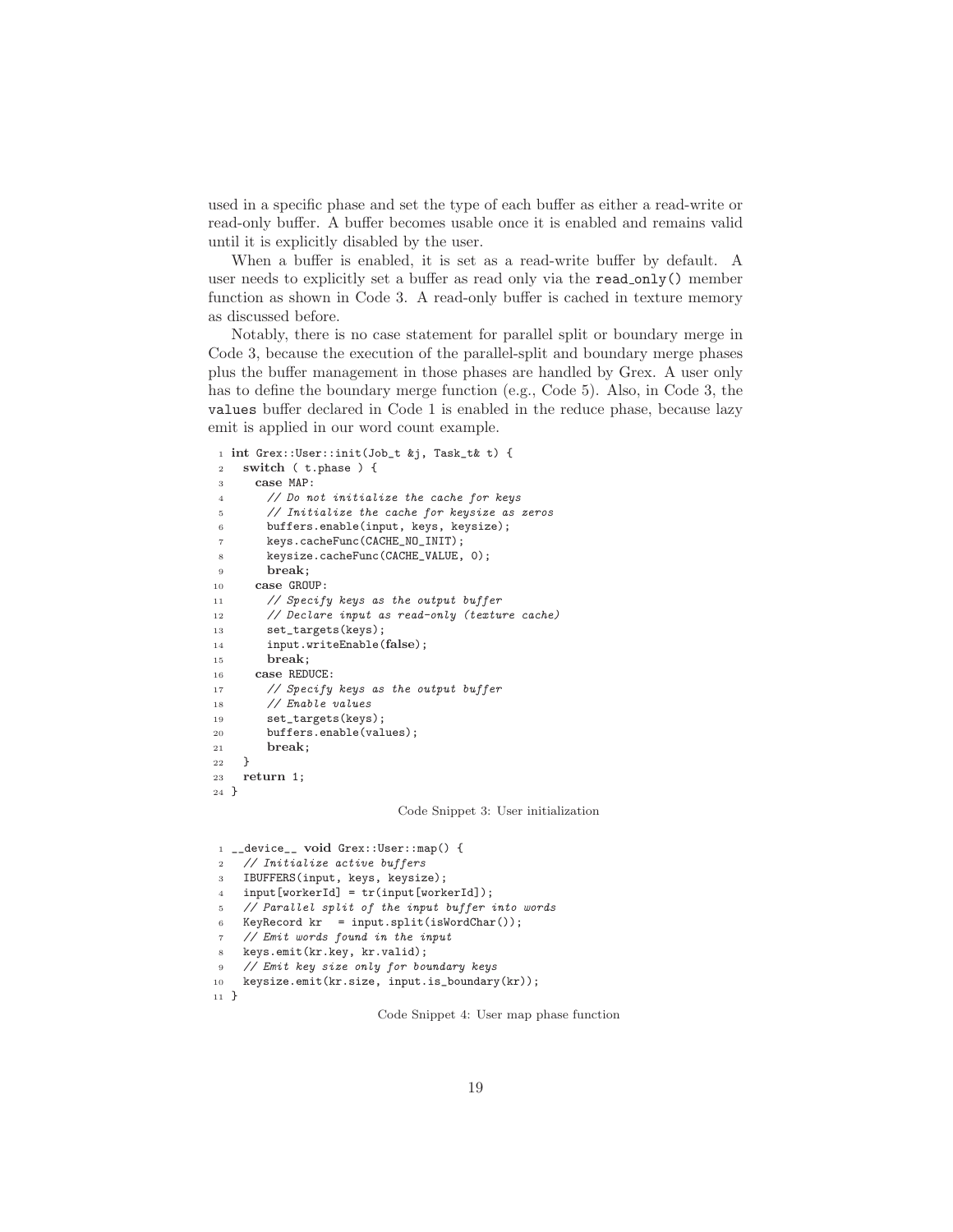used in a specific phase and set the type of each buffer as either a read-write or read-only buffer. A buffer becomes usable once it is enabled and remains valid until it is explicitly disabled by the user.

When a buffer is enabled, it is set as a read-write buffer by default. A user needs to explicitly set a buffer as read only via the read only() member function as shown in Code 3. A read-only buffer is cached in texture memory as discussed before.

Notably, there is no case statement for parallel split or boundary merge in Code 3, because the execution of the parallel-split and boundary merge phases plus the buffer management in those phases are handled by Grex. A user only has to define the boundary merge function (e.g., Code 5). Also, in Code 3, the values buffer declared in Code 1 is enabled in the reduce phase, because lazy emit is applied in our word count example.

```
1 int Grex::User::init(Job_t &j, Task_t& t) {
2 switch ( t.phase ) {
3 case MAP:
4 // Do not initialize the cache for keys
5 // Initialize the cache for keysize as zeros
6 buffers.enable(input, keys, keysize);
7 keys.cacheFunc(CACHE_NO_INIT);
8 keysize.cacheFunc(CACHE_VALUE, 0);
9 break;
10 case GROUP:
11 // Specify keys as the output buffer
12 // Declare input as read-only (texture cache)
13 set_targets(keys);
14 input.writeEnable(false);
15 break;
16 case REDUCE:
17 // Specify keys as the output buffer
18 // Enable values
19 set_targets(keys);
20 buffers.enable(values);
21 break;
22 }
23 return 1;
24 }
```
Code Snippet 3: User initialization

```
1 __device__ void Grex::User::map() {
2 // Initialize active buffers
3 IBUFFERS(input, keys, keysize);
4 input[workerId] = tr(input[workerId]);
5 // Parallel split of the input buffer into words
6 KeyRecord kr = input.split(isWordChar());
7 // Emit words found in the input
8 keys.emit(kr.key, kr.valid);
9 // Emit key size only for boundary keys
10 keysize.emit(kr.size, input.is_boundary(kr));
11 }
```
Code Snippet 4: User map phase function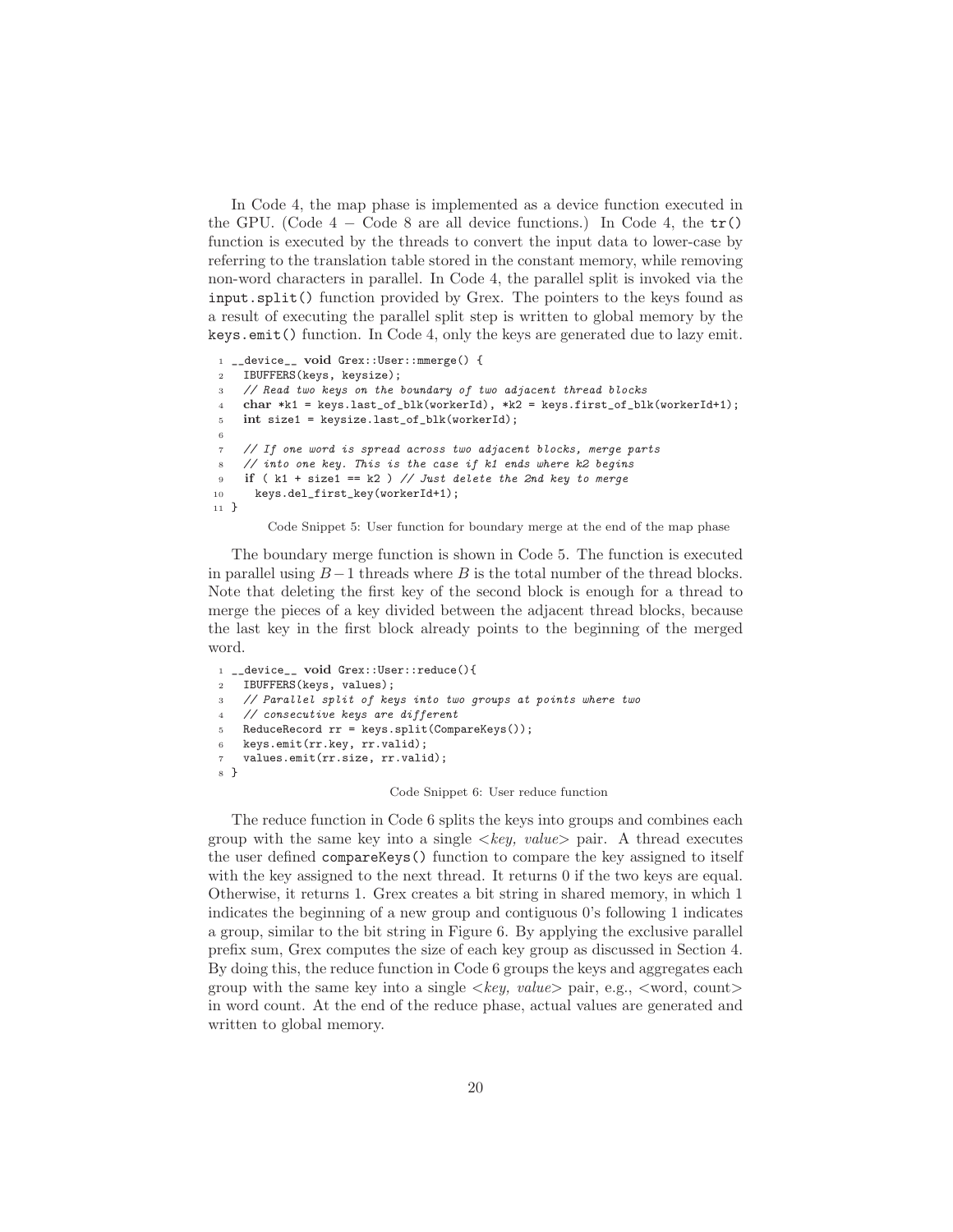In Code 4, the map phase is implemented as a device function executed in the GPU. (Code  $4 - \text{Code } 8$  are all device functions.) In Code 4, the  $tr()$ function is executed by the threads to convert the input data to lower-case by referring to the translation table stored in the constant memory, while removing non-word characters in parallel. In Code 4, the parallel split is invoked via the input.split() function provided by Grex. The pointers to the keys found as a result of executing the parallel split step is written to global memory by the keys.emit() function. In Code 4, only the keys are generated due to lazy emit.

```
1 __device__ void Grex::User::mmerge() {
2 IBUFFERS(keys, keysize);
3 // Read two keys on the boundary of two adjacent thread blocks
4 char *k1 = keys.last_of_blk(workerId), *k2 = keys.first_of_blk(workerId+1);
5 int size1 = keysize.last_of_blk(workerId);
 6
    7 // If one word is spread across two adjacent blocks, merge parts
    1/ into one key. This is the case if k1 ends where k2 begins
9 if (k1 + size1 == k2) // Just delete the 2nd key to merge
10 keys.del_first_key(workerId+1);
11 }
```
Code Snippet 5: User function for boundary merge at the end of the map phase

The boundary merge function is shown in Code 5. The function is executed in parallel using  $B-1$  threads where B is the total number of the thread blocks. Note that deleting the first key of the second block is enough for a thread to merge the pieces of a key divided between the adjacent thread blocks, because the last key in the first block already points to the beginning of the merged word.

```
1 __device__ void Grex::User::reduce(){
2 IBUFFERS(keys, values);
3 // Parallel split of keys into two groups at points where two
4 // consecutive keys are different
5 ReduceRecord rr = keys.split(CompareKeys());
6 keys.emit(rr.key, rr.valid);
7 values.emit(rr.size, rr.valid);
8 }
```
Code Snippet 6: User reduce function

The reduce function in Code 6 splits the keys into groups and combines each group with the same key into a single  $\langle key, value \rangle$  pair. A thread executes the user defined compareKeys() function to compare the key assigned to itself with the key assigned to the next thread. It returns 0 if the two keys are equal. Otherwise, it returns 1. Grex creates a bit string in shared memory, in which 1 indicates the beginning of a new group and contiguous 0's following 1 indicates a group, similar to the bit string in Figure 6. By applying the exclusive parallel prefix sum, Grex computes the size of each key group as discussed in Section 4. By doing this, the reduce function in Code 6 groups the keys and aggregates each group with the same key into a single  $\langle key, value \rangle$  pair, e.g.,  $\langle word, count \rangle$ in word count. At the end of the reduce phase, actual values are generated and written to global memory.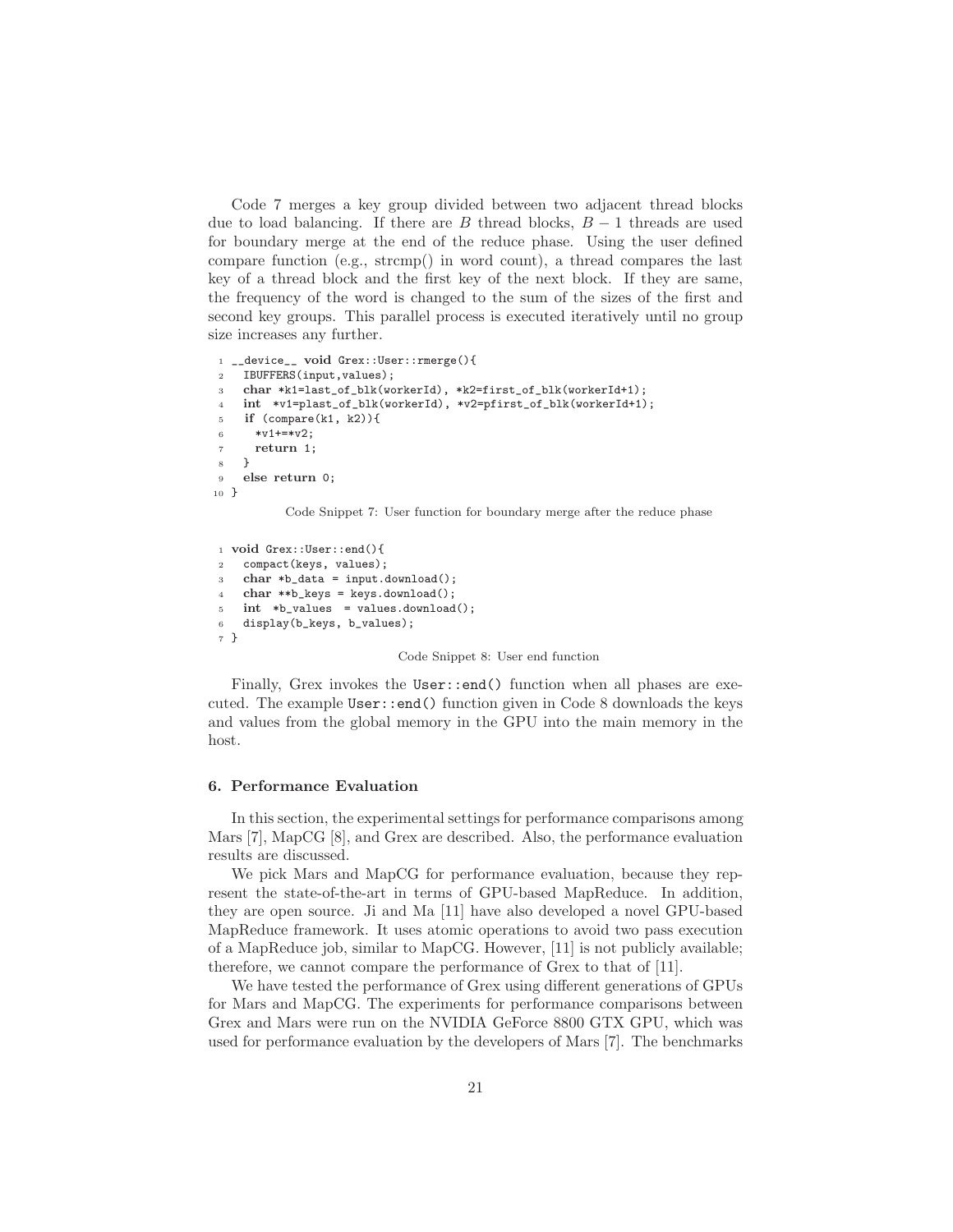Code 7 merges a key group divided between two adjacent thread blocks due to load balancing. If there are B thread blocks,  $B-1$  threads are used for boundary merge at the end of the reduce phase. Using the user defined compare function (e.g., strcmp() in word count), a thread compares the last key of a thread block and the first key of the next block. If they are same, the frequency of the word is changed to the sum of the sizes of the first and second key groups. This parallel process is executed iteratively until no group size increases any further.

```
1 __device__ void Grex::User::rmerge(){
2 IBUFFERS(input,values);
    char *k1=last_of_blk(workerId), *k2=first_of_blk(workerId+1);
4 int *v1=plast_of_blk(workerId), *v2=pfirst_of_blk(workerId+1);
5 if (compare(k1, k2)){
6 *vt+**v2:
     return 1;
   8 }
9 else return 0;
10 }
```
Code Snippet 7: User function for boundary merge after the reduce phase

```
1 void Grex::User::end(){
2 compact(keys, values);
3 char *b_data = input.download();
   char **b_{keys} = keys.download();5 int *b_values = values.download();
6 display(b_keys, b_values);
7 }
```
#### Code Snippet 8: User end function

Finally, Grex invokes the User::end() function when all phases are executed. The example User::end() function given in Code 8 downloads the keys and values from the global memory in the GPU into the main memory in the host.

### 6. Performance Evaluation

In this section, the experimental settings for performance comparisons among Mars [7], MapCG [8], and Grex are described. Also, the performance evaluation results are discussed.

We pick Mars and MapCG for performance evaluation, because they represent the state-of-the-art in terms of GPU-based MapReduce. In addition, they are open source. Ji and Ma [11] have also developed a novel GPU-based MapReduce framework. It uses atomic operations to avoid two pass execution of a MapReduce job, similar to MapCG. However, [11] is not publicly available; therefore, we cannot compare the performance of Grex to that of [11].

We have tested the performance of Grex using different generations of GPUs for Mars and MapCG. The experiments for performance comparisons between Grex and Mars were run on the NVIDIA GeForce 8800 GTX GPU, which was used for performance evaluation by the developers of Mars [7]. The benchmarks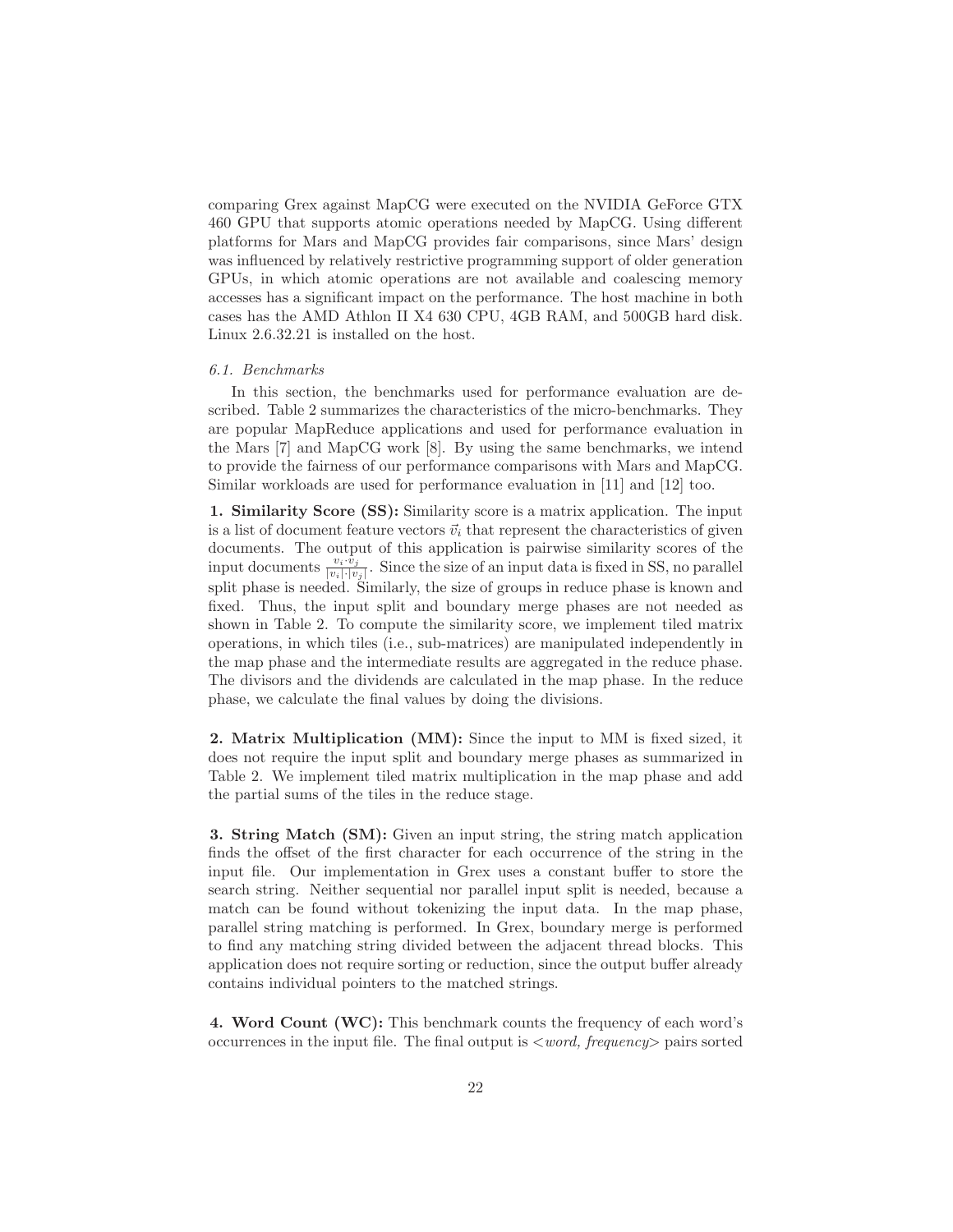comparing Grex against MapCG were executed on the NVIDIA GeForce GTX 460 GPU that supports atomic operations needed by MapCG. Using different platforms for Mars and MapCG provides fair comparisons, since Mars' design was influenced by relatively restrictive programming support of older generation GPUs, in which atomic operations are not available and coalescing memory accesses has a significant impact on the performance. The host machine in both cases has the AMD Athlon II X4 630 CPU, 4GB RAM, and 500GB hard disk. Linux 2.6.32.21 is installed on the host.

# 6.1. Benchmarks

In this section, the benchmarks used for performance evaluation are described. Table 2 summarizes the characteristics of the micro-benchmarks. They are popular MapReduce applications and used for performance evaluation in the Mars [7] and MapCG work [8]. By using the same benchmarks, we intend to provide the fairness of our performance comparisons with Mars and MapCG. Similar workloads are used for performance evaluation in [11] and [12] too.

1. Similarity Score (SS): Similarity score is a matrix application. The input is a list of document feature vectors  $\vec{v}_i$  that represent the characteristics of given documents. The output of this application is pairwise similarity scores of the input documents  $\frac{v_i \cdot \hat{v}_j}{|v_i| \cdot |v_j|}$ . Since the size of an input data is fixed in SS, no parallel split phase is needed. Similarly, the size of groups in reduce phase is known and fixed. Thus, the input split and boundary merge phases are not needed as shown in Table 2. To compute the similarity score, we implement tiled matrix operations, in which tiles (i.e., sub-matrices) are manipulated independently in the map phase and the intermediate results are aggregated in the reduce phase. The divisors and the dividends are calculated in the map phase. In the reduce phase, we calculate the final values by doing the divisions.

2. Matrix Multiplication (MM): Since the input to MM is fixed sized, it does not require the input split and boundary merge phases as summarized in Table 2. We implement tiled matrix multiplication in the map phase and add the partial sums of the tiles in the reduce stage.

3. String Match (SM): Given an input string, the string match application finds the offset of the first character for each occurrence of the string in the input file. Our implementation in Grex uses a constant buffer to store the search string. Neither sequential nor parallel input split is needed, because a match can be found without tokenizing the input data. In the map phase, parallel string matching is performed. In Grex, boundary merge is performed to find any matching string divided between the adjacent thread blocks. This application does not require sorting or reduction, since the output buffer already contains individual pointers to the matched strings.

4. Word Count (WC): This benchmark counts the frequency of each word's occurrences in the input file. The final output is  $\langle word, frequency \rangle$  pairs sorted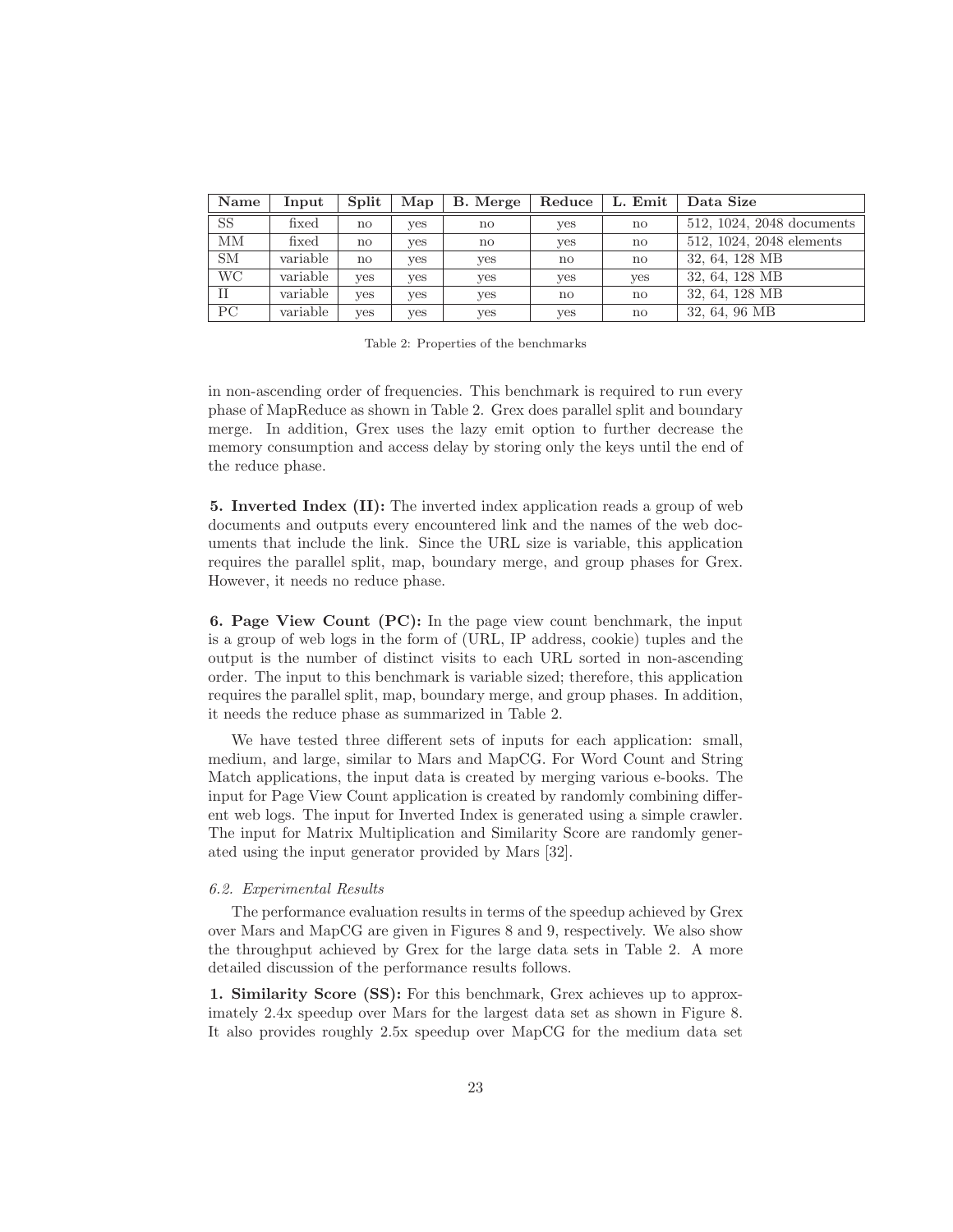| Name      | Input    | Split                  | Map | B. Merge     | Reduce       | L. Emit      | Data Size                 |
|-----------|----------|------------------------|-----|--------------|--------------|--------------|---------------------------|
| <b>SS</b> | fixed    | $\mathbf{n}\mathbf{o}$ | ves | no           | yes          | no           | 512, 1024, 2048 documents |
| MM        | fixed    | no                     | yes | $\mathbf{n}$ | <b>ves</b>   | no           | 512, 1024, 2048 elements  |
| <b>SM</b> | variable | no                     | ves | ves          | $\mathbf{n}$ | no           | 32, 64, 128 MB            |
| <b>WC</b> | variable | ves                    | yes | yes          | yes          | yes          | 32, 64, 128 MB            |
| П         | variable | yes                    | yes | ves          | no           | $\mathbf{n}$ | 32, 64, 128 MB            |
| PC        | variable | yes                    | yes | yes          | yes          | no           | 32, 64, 96 MB             |

Table 2: Properties of the benchmarks

in non-ascending order of frequencies. This benchmark is required to run every phase of MapReduce as shown in Table 2. Grex does parallel split and boundary merge. In addition, Grex uses the lazy emit option to further decrease the memory consumption and access delay by storing only the keys until the end of the reduce phase.

5. Inverted Index (II): The inverted index application reads a group of web documents and outputs every encountered link and the names of the web documents that include the link. Since the URL size is variable, this application requires the parallel split, map, boundary merge, and group phases for Grex. However, it needs no reduce phase.

6. Page View Count (PC): In the page view count benchmark, the input is a group of web logs in the form of (URL, IP address, cookie) tuples and the output is the number of distinct visits to each URL sorted in non-ascending order. The input to this benchmark is variable sized; therefore, this application requires the parallel split, map, boundary merge, and group phases. In addition, it needs the reduce phase as summarized in Table 2.

We have tested three different sets of inputs for each application: small, medium, and large, similar to Mars and MapCG. For Word Count and String Match applications, the input data is created by merging various e-books. The input for Page View Count application is created by randomly combining different web logs. The input for Inverted Index is generated using a simple crawler. The input for Matrix Multiplication and Similarity Score are randomly generated using the input generator provided by Mars [32].

### 6.2. Experimental Results

The performance evaluation results in terms of the speedup achieved by Grex over Mars and MapCG are given in Figures 8 and 9, respectively. We also show the throughput achieved by Grex for the large data sets in Table 2. A more detailed discussion of the performance results follows.

1. Similarity Score (SS): For this benchmark, Grex achieves up to approximately 2.4x speedup over Mars for the largest data set as shown in Figure 8. It also provides roughly 2.5x speedup over MapCG for the medium data set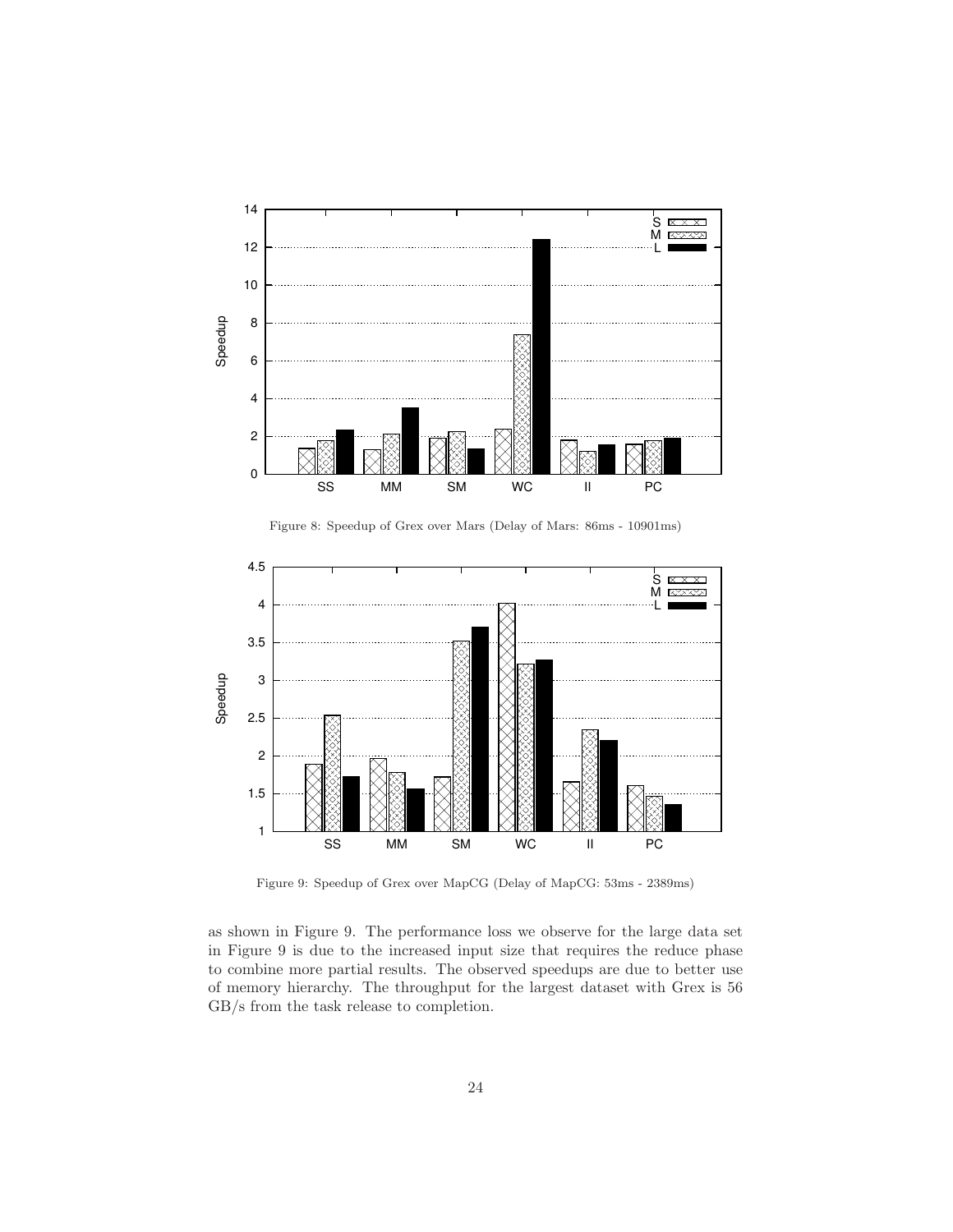

Figure 8: Speedup of Grex over Mars (Delay of Mars: 86ms - 10901ms)



Figure 9: Speedup of Grex over MapCG (Delay of MapCG: 53ms - 2389ms)

as shown in Figure 9. The performance loss we observe for the large data set in Figure 9 is due to the increased input size that requires the reduce phase to combine more partial results. The observed speedups are due to better use of memory hierarchy. The throughput for the largest dataset with Grex is 56 GB/s from the task release to completion.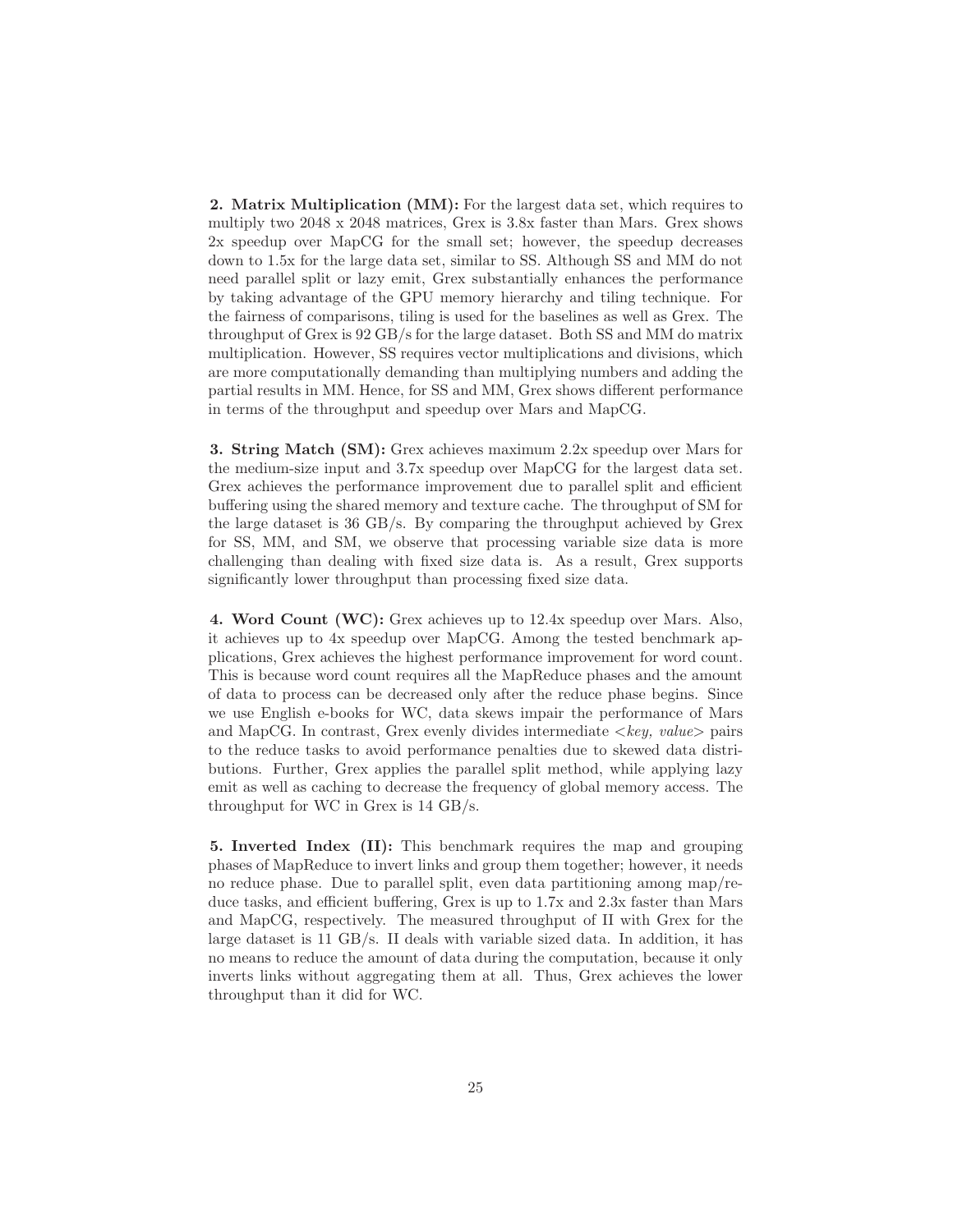2. Matrix Multiplication (MM): For the largest data set, which requires to multiply two 2048 x 2048 matrices, Grex is 3.8x faster than Mars. Grex shows 2x speedup over MapCG for the small set; however, the speedup decreases down to 1.5x for the large data set, similar to SS. Although SS and MM do not need parallel split or lazy emit, Grex substantially enhances the performance by taking advantage of the GPU memory hierarchy and tiling technique. For the fairness of comparisons, tiling is used for the baselines as well as Grex. The throughput of Grex is 92 GB/s for the large dataset. Both SS and MM do matrix multiplication. However, SS requires vector multiplications and divisions, which are more computationally demanding than multiplying numbers and adding the partial results in MM. Hence, for SS and MM, Grex shows different performance in terms of the throughput and speedup over Mars and MapCG.

3. String Match (SM): Grex achieves maximum 2.2x speedup over Mars for the medium-size input and 3.7x speedup over MapCG for the largest data set. Grex achieves the performance improvement due to parallel split and efficient buffering using the shared memory and texture cache. The throughput of SM for the large dataset is 36 GB/s. By comparing the throughput achieved by Grex for SS, MM, and SM, we observe that processing variable size data is more challenging than dealing with fixed size data is. As a result, Grex supports significantly lower throughput than processing fixed size data.

4. Word Count (WC): Grex achieves up to 12.4x speedup over Mars. Also, it achieves up to 4x speedup over MapCG. Among the tested benchmark applications, Grex achieves the highest performance improvement for word count. This is because word count requires all the MapReduce phases and the amount of data to process can be decreased only after the reduce phase begins. Since we use English e-books for WC, data skews impair the performance of Mars and MapCG. In contrast, Grex evenly divides intermediate  $\langle key, value \rangle$  pairs to the reduce tasks to avoid performance penalties due to skewed data distributions. Further, Grex applies the parallel split method, while applying lazy emit as well as caching to decrease the frequency of global memory access. The throughput for WC in Grex is 14 GB/s.

5. Inverted Index (II): This benchmark requires the map and grouping phases of MapReduce to invert links and group them together; however, it needs no reduce phase. Due to parallel split, even data partitioning among map/reduce tasks, and efficient buffering, Grex is up to 1.7x and 2.3x faster than Mars and MapCG, respectively. The measured throughput of II with Grex for the large dataset is 11 GB/s. II deals with variable sized data. In addition, it has no means to reduce the amount of data during the computation, because it only inverts links without aggregating them at all. Thus, Grex achieves the lower throughput than it did for WC.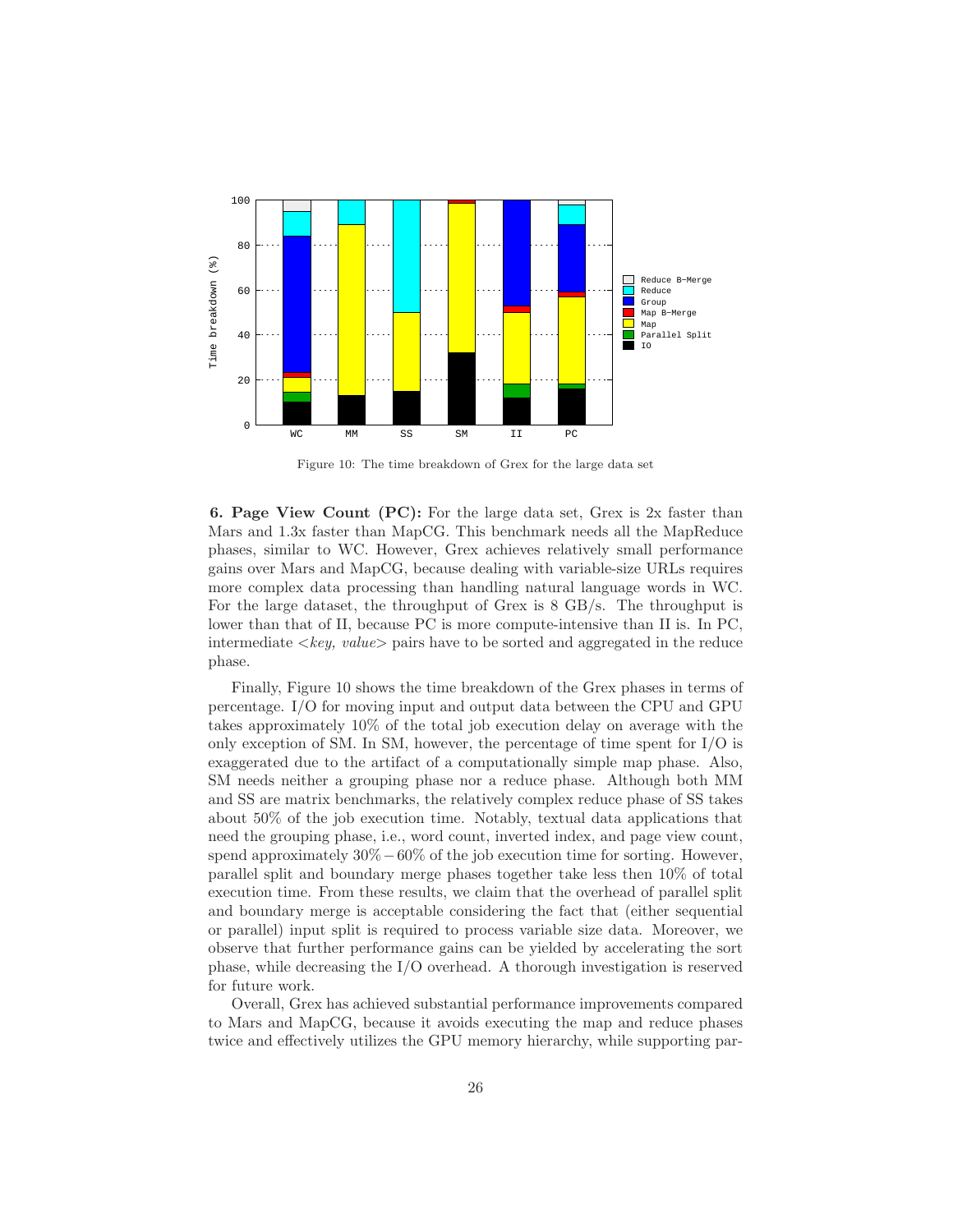

Figure 10: The time breakdown of Grex for the large data set

6. Page View Count (PC): For the large data set, Grex is 2x faster than Mars and 1.3x faster than MapCG. This benchmark needs all the MapReduce phases, similar to WC. However, Grex achieves relatively small performance gains over Mars and MapCG, because dealing with variable-size URLs requires more complex data processing than handling natural language words in WC. For the large dataset, the throughput of Grex is 8 GB/s. The throughput is lower than that of II, because PC is more compute-intensive than II is. In PC, intermediate  $\langle key, value \rangle$  pairs have to be sorted and aggregated in the reduce phase.

Finally, Figure 10 shows the time breakdown of the Grex phases in terms of percentage. I/O for moving input and output data between the CPU and GPU takes approximately 10% of the total job execution delay on average with the only exception of SM. In SM, however, the percentage of time spent for  $I/O$  is exaggerated due to the artifact of a computationally simple map phase. Also, SM needs neither a grouping phase nor a reduce phase. Although both MM and SS are matrix benchmarks, the relatively complex reduce phase of SS takes about 50% of the job execution time. Notably, textual data applications that need the grouping phase, i.e., word count, inverted index, and page view count, spend approximately  $30\% - 60\%$  of the job execution time for sorting. However, parallel split and boundary merge phases together take less then 10% of total execution time. From these results, we claim that the overhead of parallel split and boundary merge is acceptable considering the fact that (either sequential or parallel) input split is required to process variable size data. Moreover, we observe that further performance gains can be yielded by accelerating the sort phase, while decreasing the I/O overhead. A thorough investigation is reserved for future work.

Overall, Grex has achieved substantial performance improvements compared to Mars and MapCG, because it avoids executing the map and reduce phases twice and effectively utilizes the GPU memory hierarchy, while supporting par-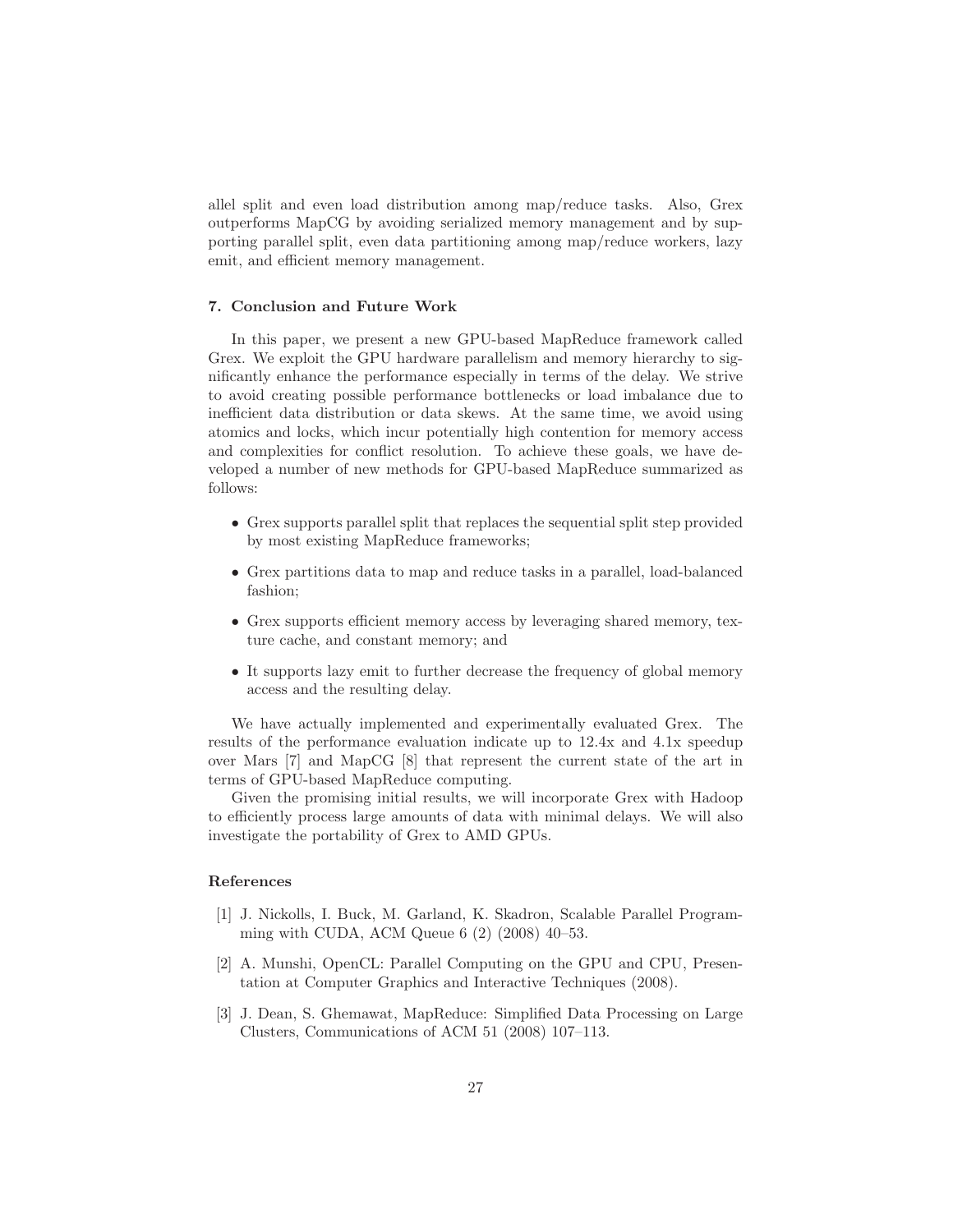allel split and even load distribution among map/reduce tasks. Also, Grex outperforms MapCG by avoiding serialized memory management and by supporting parallel split, even data partitioning among map/reduce workers, lazy emit, and efficient memory management.

## 7. Conclusion and Future Work

In this paper, we present a new GPU-based MapReduce framework called Grex. We exploit the GPU hardware parallelism and memory hierarchy to significantly enhance the performance especially in terms of the delay. We strive to avoid creating possible performance bottlenecks or load imbalance due to inefficient data distribution or data skews. At the same time, we avoid using atomics and locks, which incur potentially high contention for memory access and complexities for conflict resolution. To achieve these goals, we have developed a number of new methods for GPU-based MapReduce summarized as follows:

- Grex supports parallel split that replaces the sequential split step provided by most existing MapReduce frameworks;
- Grex partitions data to map and reduce tasks in a parallel, load-balanced fashion;
- Grex supports efficient memory access by leveraging shared memory, texture cache, and constant memory; and
- It supports lazy emit to further decrease the frequency of global memory access and the resulting delay.

We have actually implemented and experimentally evaluated Grex. The results of the performance evaluation indicate up to 12.4x and 4.1x speedup over Mars [7] and MapCG [8] that represent the current state of the art in terms of GPU-based MapReduce computing.

Given the promising initial results, we will incorporate Grex with Hadoop to efficiently process large amounts of data with minimal delays. We will also investigate the portability of Grex to AMD GPUs.

## References

- [1] J. Nickolls, I. Buck, M. Garland, K. Skadron, Scalable Parallel Programming with CUDA, ACM Queue 6 (2) (2008) 40–53.
- [2] A. Munshi, OpenCL: Parallel Computing on the GPU and CPU, Presentation at Computer Graphics and Interactive Techniques (2008).
- [3] J. Dean, S. Ghemawat, MapReduce: Simplified Data Processing on Large Clusters, Communications of ACM 51 (2008) 107–113.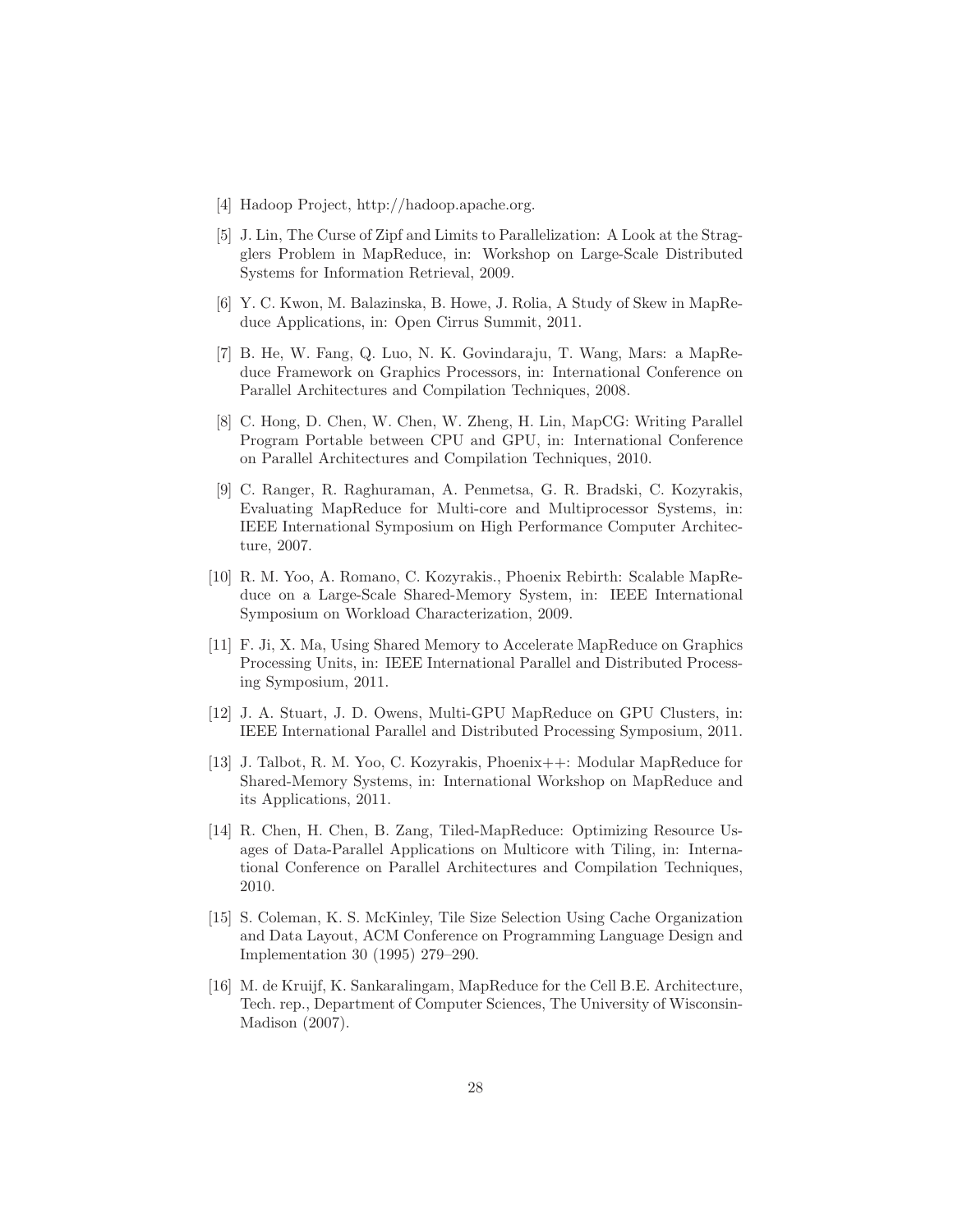- [4] Hadoop Project, http://hadoop.apache.org.
- [5] J. Lin, The Curse of Zipf and Limits to Parallelization: A Look at the Stragglers Problem in MapReduce, in: Workshop on Large-Scale Distributed Systems for Information Retrieval, 2009.
- [6] Y. C. Kwon, M. Balazinska, B. Howe, J. Rolia, A Study of Skew in MapReduce Applications, in: Open Cirrus Summit, 2011.
- [7] B. He, W. Fang, Q. Luo, N. K. Govindaraju, T. Wang, Mars: a MapReduce Framework on Graphics Processors, in: International Conference on Parallel Architectures and Compilation Techniques, 2008.
- [8] C. Hong, D. Chen, W. Chen, W. Zheng, H. Lin, MapCG: Writing Parallel Program Portable between CPU and GPU, in: International Conference on Parallel Architectures and Compilation Techniques, 2010.
- [9] C. Ranger, R. Raghuraman, A. Penmetsa, G. R. Bradski, C. Kozyrakis, Evaluating MapReduce for Multi-core and Multiprocessor Systems, in: IEEE International Symposium on High Performance Computer Architecture, 2007.
- [10] R. M. Yoo, A. Romano, C. Kozyrakis., Phoenix Rebirth: Scalable MapReduce on a Large-Scale Shared-Memory System, in: IEEE International Symposium on Workload Characterization, 2009.
- [11] F. Ji, X. Ma, Using Shared Memory to Accelerate MapReduce on Graphics Processing Units, in: IEEE International Parallel and Distributed Processing Symposium, 2011.
- [12] J. A. Stuart, J. D. Owens, Multi-GPU MapReduce on GPU Clusters, in: IEEE International Parallel and Distributed Processing Symposium, 2011.
- [13] J. Talbot, R. M. Yoo, C. Kozyrakis, Phoenix++: Modular MapReduce for Shared-Memory Systems, in: International Workshop on MapReduce and its Applications, 2011.
- [14] R. Chen, H. Chen, B. Zang, Tiled-MapReduce: Optimizing Resource Usages of Data-Parallel Applications on Multicore with Tiling, in: International Conference on Parallel Architectures and Compilation Techniques, 2010.
- [15] S. Coleman, K. S. McKinley, Tile Size Selection Using Cache Organization and Data Layout, ACM Conference on Programming Language Design and Implementation 30 (1995) 279–290.
- [16] M. de Kruijf, K. Sankaralingam, MapReduce for the Cell B.E. Architecture, Tech. rep., Department of Computer Sciences, The University of Wisconsin-Madison (2007).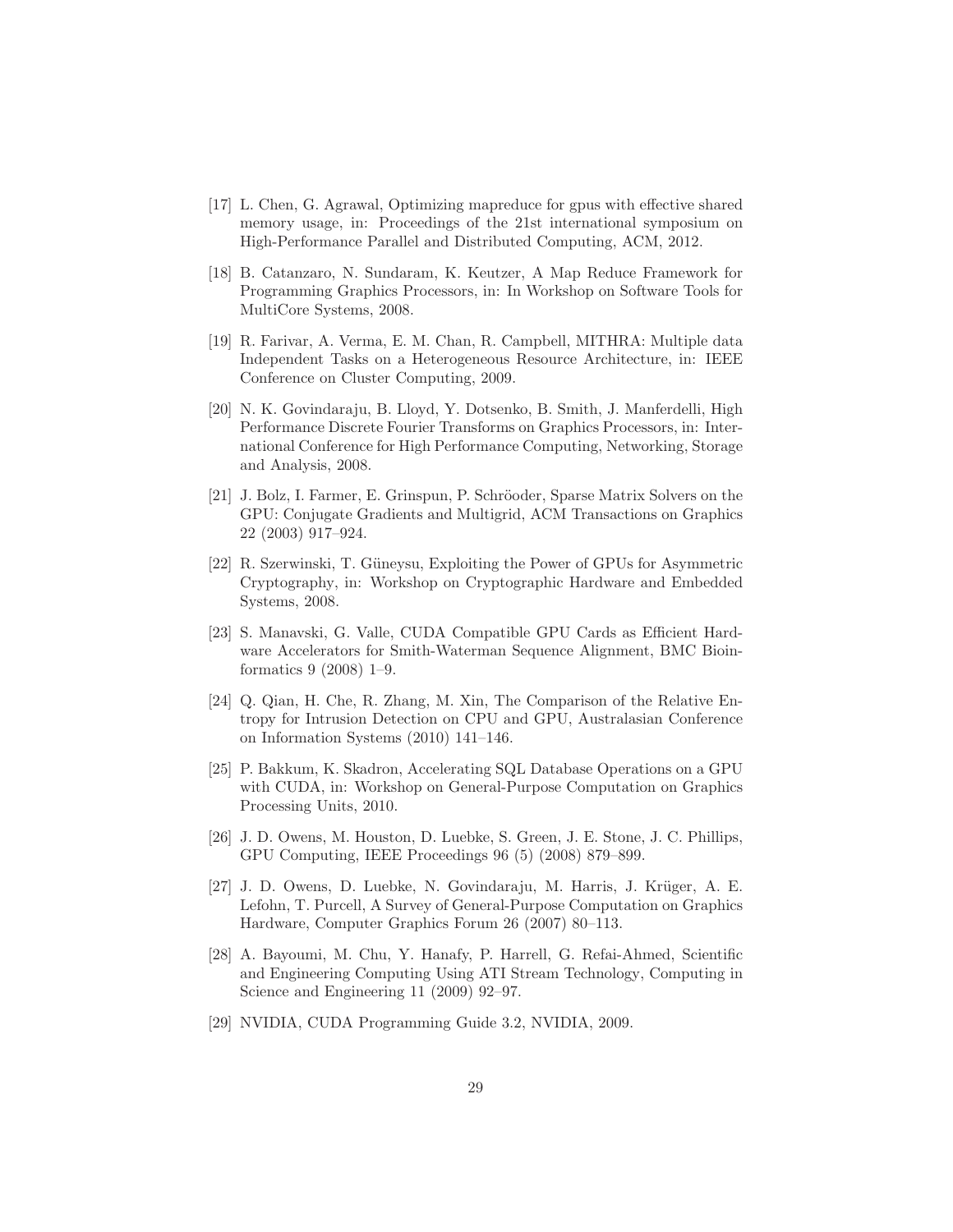- [17] L. Chen, G. Agrawal, Optimizing mapreduce for gpus with effective shared memory usage, in: Proceedings of the 21st international symposium on High-Performance Parallel and Distributed Computing, ACM, 2012.
- [18] B. Catanzaro, N. Sundaram, K. Keutzer, A Map Reduce Framework for Programming Graphics Processors, in: In Workshop on Software Tools for MultiCore Systems, 2008.
- [19] R. Farivar, A. Verma, E. M. Chan, R. Campbell, MITHRA: Multiple data Independent Tasks on a Heterogeneous Resource Architecture, in: IEEE Conference on Cluster Computing, 2009.
- [20] N. K. Govindaraju, B. Lloyd, Y. Dotsenko, B. Smith, J. Manferdelli, High Performance Discrete Fourier Transforms on Graphics Processors, in: International Conference for High Performance Computing, Networking, Storage and Analysis, 2008.
- [21] J. Bolz, I. Farmer, E. Grinspun, P. Schröoder, Sparse Matrix Solvers on the GPU: Conjugate Gradients and Multigrid, ACM Transactions on Graphics 22 (2003) 917–924.
- [22] R. Szerwinski, T. Güneysu, Exploiting the Power of GPUs for Asymmetric Cryptography, in: Workshop on Cryptographic Hardware and Embedded Systems, 2008.
- [23] S. Manavski, G. Valle, CUDA Compatible GPU Cards as Efficient Hardware Accelerators for Smith-Waterman Sequence Alignment, BMC Bioinformatics 9 (2008) 1–9.
- [24] Q. Qian, H. Che, R. Zhang, M. Xin, The Comparison of the Relative Entropy for Intrusion Detection on CPU and GPU, Australasian Conference on Information Systems (2010) 141–146.
- [25] P. Bakkum, K. Skadron, Accelerating SQL Database Operations on a GPU with CUDA, in: Workshop on General-Purpose Computation on Graphics Processing Units, 2010.
- [26] J. D. Owens, M. Houston, D. Luebke, S. Green, J. E. Stone, J. C. Phillips, GPU Computing, IEEE Proceedings 96 (5) (2008) 879–899.
- [27] J. D. Owens, D. Luebke, N. Govindaraju, M. Harris, J. Krüger, A. E. Lefohn, T. Purcell, A Survey of General-Purpose Computation on Graphics Hardware, Computer Graphics Forum 26 (2007) 80–113.
- [28] A. Bayoumi, M. Chu, Y. Hanafy, P. Harrell, G. Refai-Ahmed, Scientific and Engineering Computing Using ATI Stream Technology, Computing in Science and Engineering 11 (2009) 92–97.
- [29] NVIDIA, CUDA Programming Guide 3.2, NVIDIA, 2009.